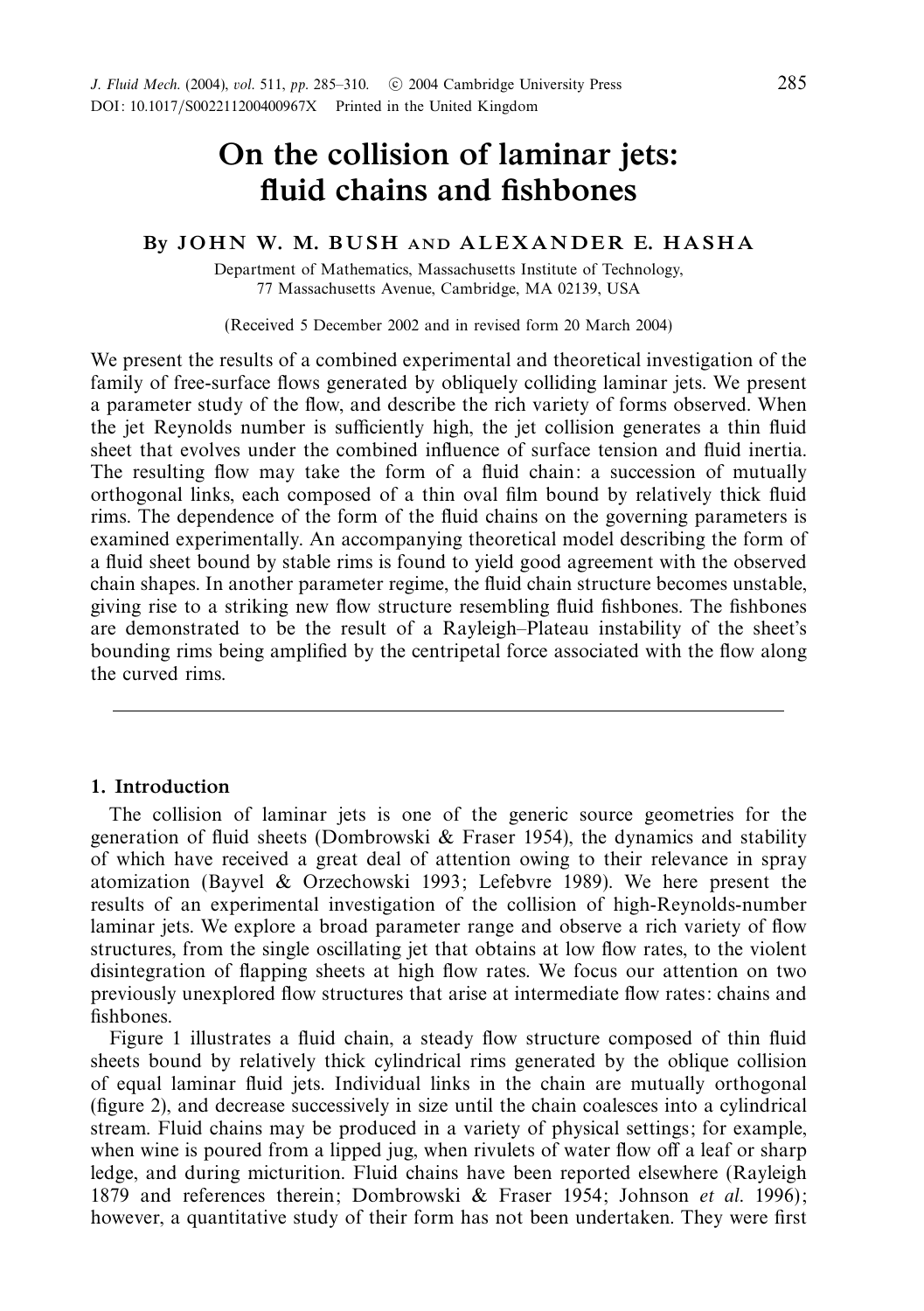# *On the collision of laminar jets: fluid chains and fishbones*

## *By J O H N W. M. B U S H AND A L E X A N D E R E. H A S H A*

Department of Mathematics, Massachusetts Institute of Technology, 77 Massachusetts Avenue, Cambridge, MA 02139, USA

(Received 5 December 2002 and in revised form 20 March 2004)

We present the results of a combined experimental and theoretical investigation of the family of free-surface flows generated by obliquely colliding laminar jets. We present a parameter study of the flow, and describe the rich variety of forms observed. When the jet Reynolds number is sufficiently high, the jet collision generates a thin fluid sheet that evolves under the combined influence of surface tension and fluid inertia. The resulting flow may take the form of a fluid chain: a succession of mutually orthogonal links, each composed of a thin oval film bound by relatively thick fluid rims. The dependence of the form of the fluid chains on the governing parameters is examined experimentally. An accompanying theoretical model describing the form of a fluid sheet bound by stable rims is found to yield good agreement with the observed chain shapes. In another parameter regime, the fluid chain structure becomes unstable, giving rise to a striking new flow structure resembling fluid fishbones. The fishbones are demonstrated to be the result of a Rayleigh–Plateau instability of the sheet's bounding rims being amplified by the centripetal force associated with the flow along the curved rims.

## *1. Introduction*

The collision of laminar jets is one of the generic source geometries for the generation of fluid sheets (Dombrowski & Fraser 1954), the dynamics and stability of which have received a great deal of attention owing to their relevance in spray atomization (Bayvel & Orzechowski 1993; Lefebvre 1989). We here present the results of an experimental investigation of the collision of high-Reynolds-number laminar jets. We explore a broad parameter range and observe a rich variety of flow structures, from the single oscillating jet that obtains at low flow rates, to the violent disintegration of flapping sheets at high flow rates. We focus our attention on two previously unexplored flow structures that arise at intermediate flow rates: chains and fishbones.

Figure 1 illustrates a fluid chain, a steady flow structure composed of thin fluid sheets bound by relatively thick cylindrical rims generated by the oblique collision of equal laminar fluid jets. Individual links in the chain are mutually orthogonal (figure 2), and decrease successively in size until the chain coalesces into a cylindrical stream. Fluid chains may be produced in a variety of physical settings; for example, when wine is poured from a lipped jug, when rivulets of water flow off a leaf or sharp ledge, and during micturition. Fluid chains have been reported elsewhere (Rayleigh 1879 and references therein; Dombrowski & Fraser 1954; Johnson et al. 1996); however, a quantitative study of their form has not been undertaken. They were first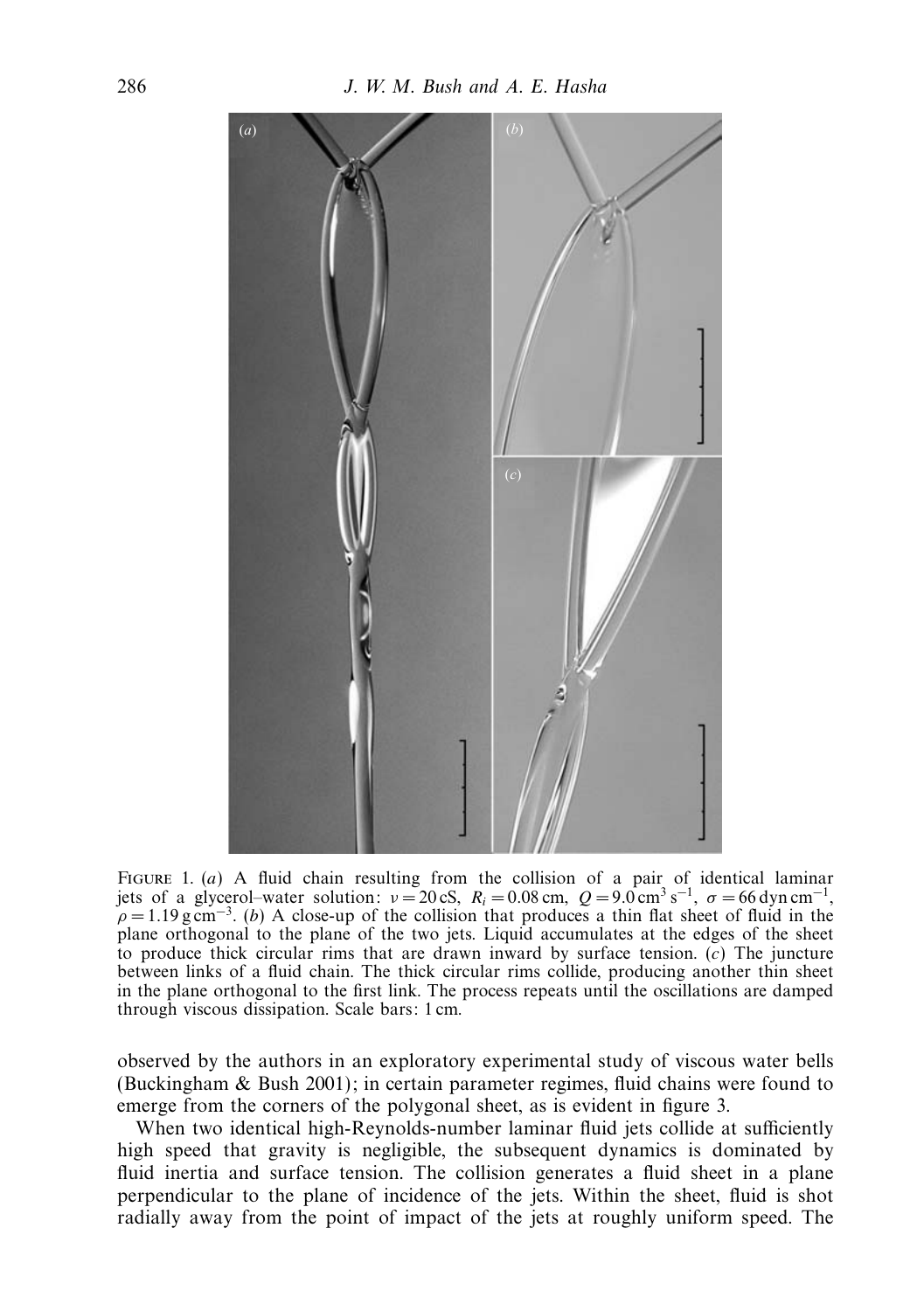

FIGURE 1. (*a*) A fluid chain resulting from the collision of a pair of identical laminar jets of a glycerol–water solution:  $v = 20 \text{ cS}, R_i = 0.08 \text{ cm}, Q = 9.0 \text{ cm}^3 \text{ s}^{-1}, \sigma = 66 \text{ dyn cm}^{-1},$  $\rho = 1.19 \text{ g cm}^{-3}$ . (*b*) A close-up of the collision that produces a thin flat sheet of fluid in the plane orthogonal to the plane of the two jets. Liquid accumulates at the edges of the sheet to produce thick circular rims that are drawn inward by surface tension. (*c*) The juncture between links of a fluid chain. The thick circular rims collide, producing another thin sheet in the plane orthogonal to the first link. The process repeats until the oscillations are damped through viscous dissipation. Scale bars: 1 cm.

observed by the authors in an exploratory experimental study of viscous water bells (Buckingham & Bush 2001); in certain parameter regimes, fluid chains were found to emerge from the corners of the polygonal sheet, as is evident in figure 3.

When two identical high-Reynolds-number laminar fluid jets collide at sufficiently high speed that gravity is negligible, the subsequent dynamics is dominated by fluid inertia and surface tension. The collision generates a fluid sheet in a plane perpendicular to the plane of incidence of the jets. Within the sheet, fluid is shot radially away from the point of impact of the jets at roughly uniform speed. The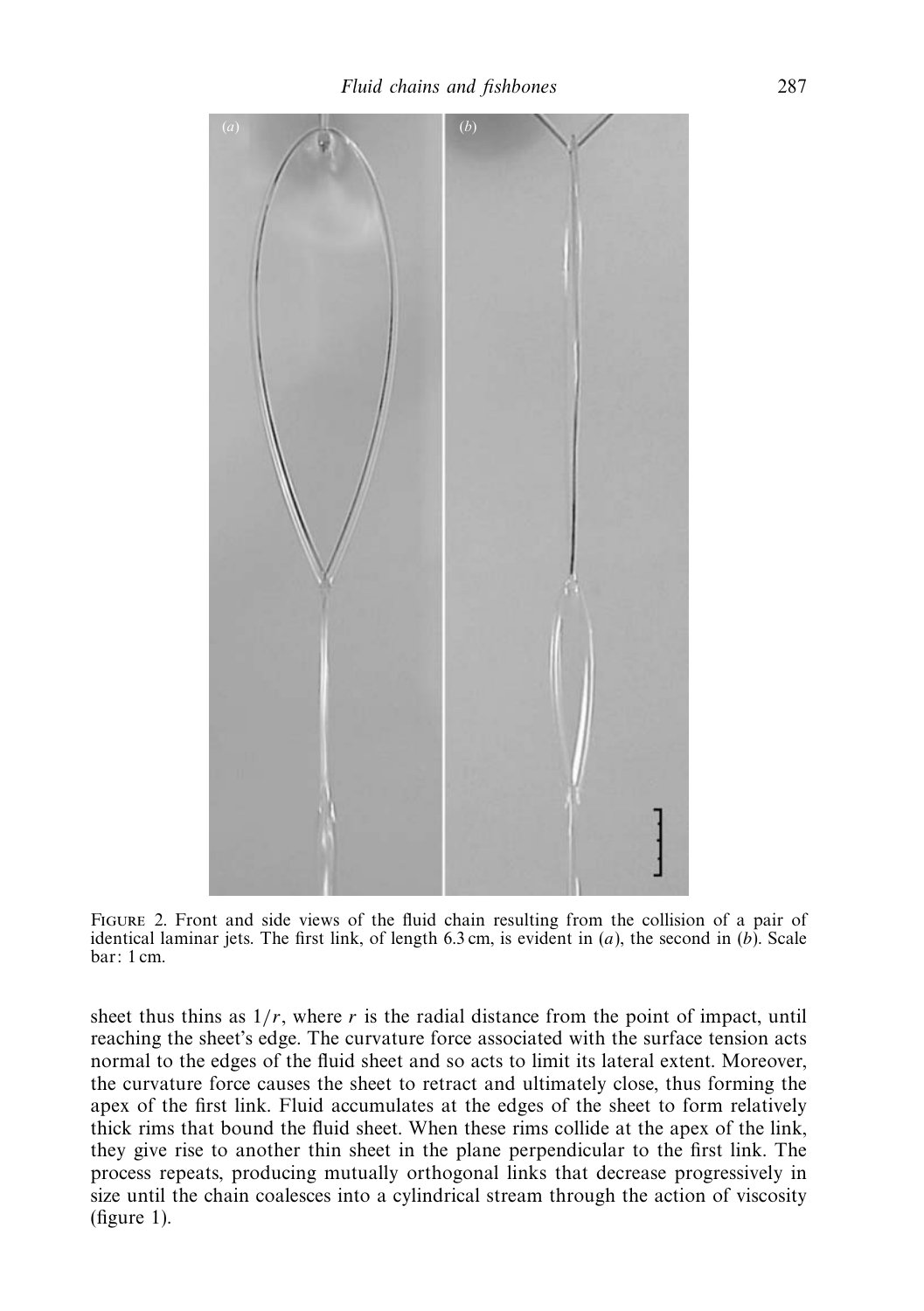

Figure 2. Front and side views of the fluid chain resulting from the collision of a pair of identical laminar jets. The first link, of length  $6.3 \text{ cm}$ , is evident in  $(a)$ , the second in  $(b)$ . Scale bar: 1 cm.

sheet thus thins as  $1/r$ , where r is the radial distance from the point of impact, until reaching the sheet's edge. The curvature force associated with the surface tension acts normal to the edges of the fluid sheet and so acts to limit its lateral extent. Moreover, the curvature force causes the sheet to retract and ultimately close, thus forming the apex of the first link. Fluid accumulates at the edges of the sheet to form relatively thick rims that bound the fluid sheet. When these rims collide at the apex of the link, they give rise to another thin sheet in the plane perpendicular to the first link. The process repeats, producing mutually orthogonal links that decrease progressively in size until the chain coalesces into a cylindrical stream through the action of viscosity (figure 1).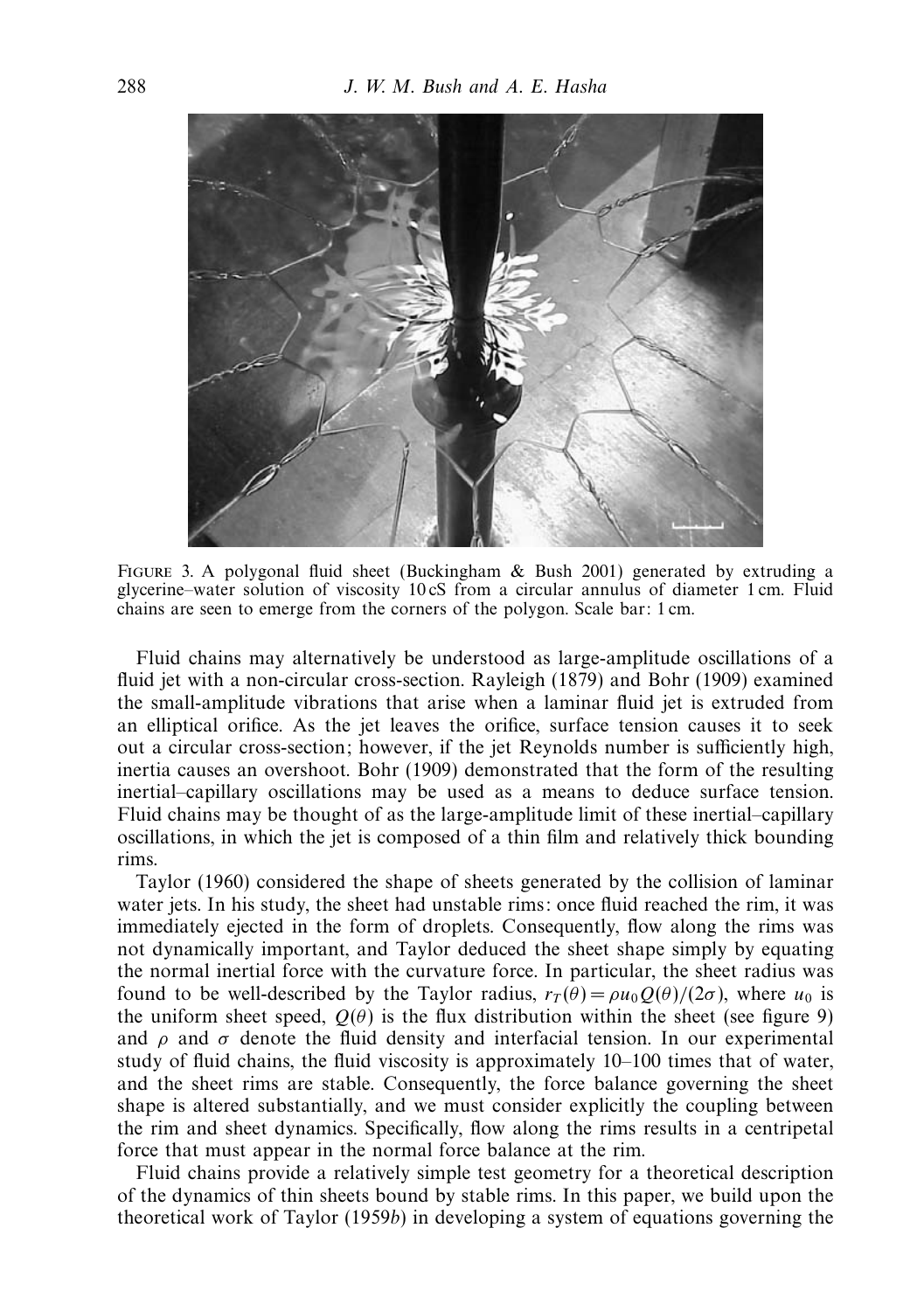

Figure 3. A polygonal fluid sheet (Buckingham & Bush 2001) generated by extruding a glycerine–water solution of viscosity 10 cS from a circular annulus of diameter 1 cm. Fluid chains are seen to emerge from the corners of the polygon. Scale bar: 1 cm.

Fluid chains may alternatively be understood as large-amplitude oscillations of a fluid jet with a non-circular cross-section. Rayleigh (1879) and Bohr (1909) examined the small-amplitude vibrations that arise when a laminar fluid jet is extruded from an elliptical orifice. As the jet leaves the orifice, surface tension causes it to seek out a circular cross-section; however, if the jet Reynolds number is sufficiently high, inertia causes an overshoot. Bohr (1909) demonstrated that the form of the resulting inertial–capillary oscillations may be used as a means to deduce surface tension. Fluid chains may be thought of as the large-amplitude limit of these inertial–capillary oscillations, in which the jet is composed of a thin film and relatively thick bounding rims.

Taylor (1960) considered the shape of sheets generated by the collision of laminar water jets. In his study, the sheet had unstable rims: once fluid reached the rim, it was immediately ejected in the form of droplets. Consequently, flow along the rims was not dynamically important, and Taylor deduced the sheet shape simply by equating the normal inertial force with the curvature force. In particular, the sheet radius was found to be well-described by the Taylor radius,  $r_T(\theta) = \rho u_0 Q(\theta)/(2\sigma)$ , where  $u_0$  is the uniform sheet speed,  $Q(\theta)$  is the flux distribution within the sheet (see figure 9) and  $\rho$  and  $\sigma$  denote the fluid density and interfacial tension. In our experimental study of fluid chains, the fluid viscosity is approximately 10–100 times that of water, and the sheet rims are stable. Consequently, the force balance governing the sheet shape is altered substantially, and we must consider explicitly the coupling between the rim and sheet dynamics. Specifically, flow along the rims results in a centripetal force that must appear in the normal force balance at the rim.

Fluid chains provide a relatively simple test geometry for a theoretical description of the dynamics of thin sheets bound by stable rims. In this paper, we build upon the theoretical work of Taylor (1959b) in developing a system of equations governing the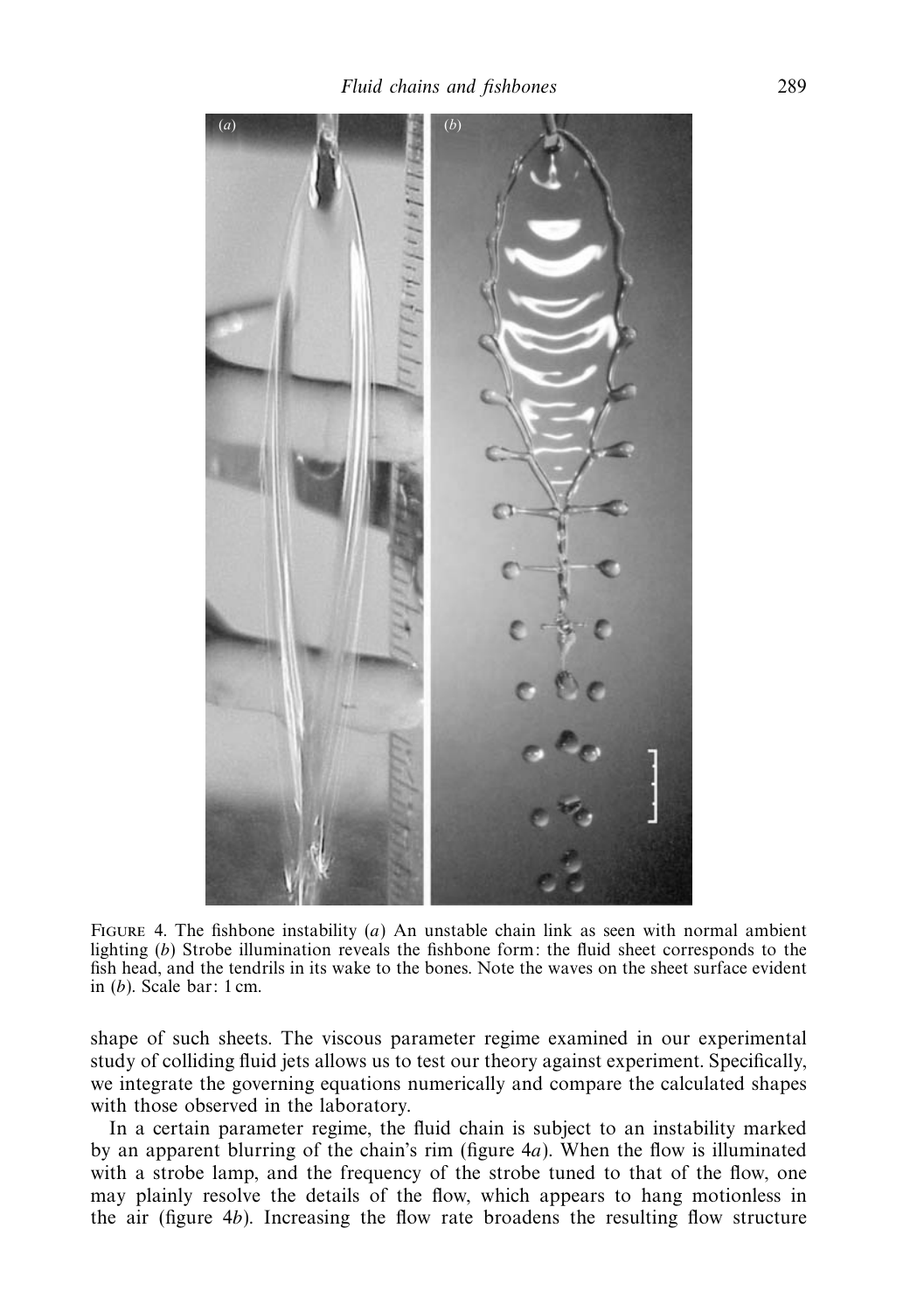

Figure 4. The fishbone instability (*a*) An unstable chain link as seen with normal ambient lighting (*b*) Strobe illumination reveals the fishbone form: the fluid sheet corresponds to the fish head, and the tendrils in its wake to the bones. Note the waves on the sheet surface evident in (*b*). Scale bar: 1 cm.

shape of such sheets. The viscous parameter regime examined in our experimental study of colliding fluid jets allows us to test our theory against experiment. Specifically, we integrate the governing equations numerically and compare the calculated shapes with those observed in the laboratory.

In a certain parameter regime, the fluid chain is subject to an instability marked by an apparent blurring of the chain's rim (figure 4*a*). When the flow is illuminated with a strobe lamp, and the frequency of the strobe tuned to that of the flow, one may plainly resolve the details of the flow, which appears to hang motionless in the air (figure 4*b*). Increasing the flow rate broadens the resulting flow structure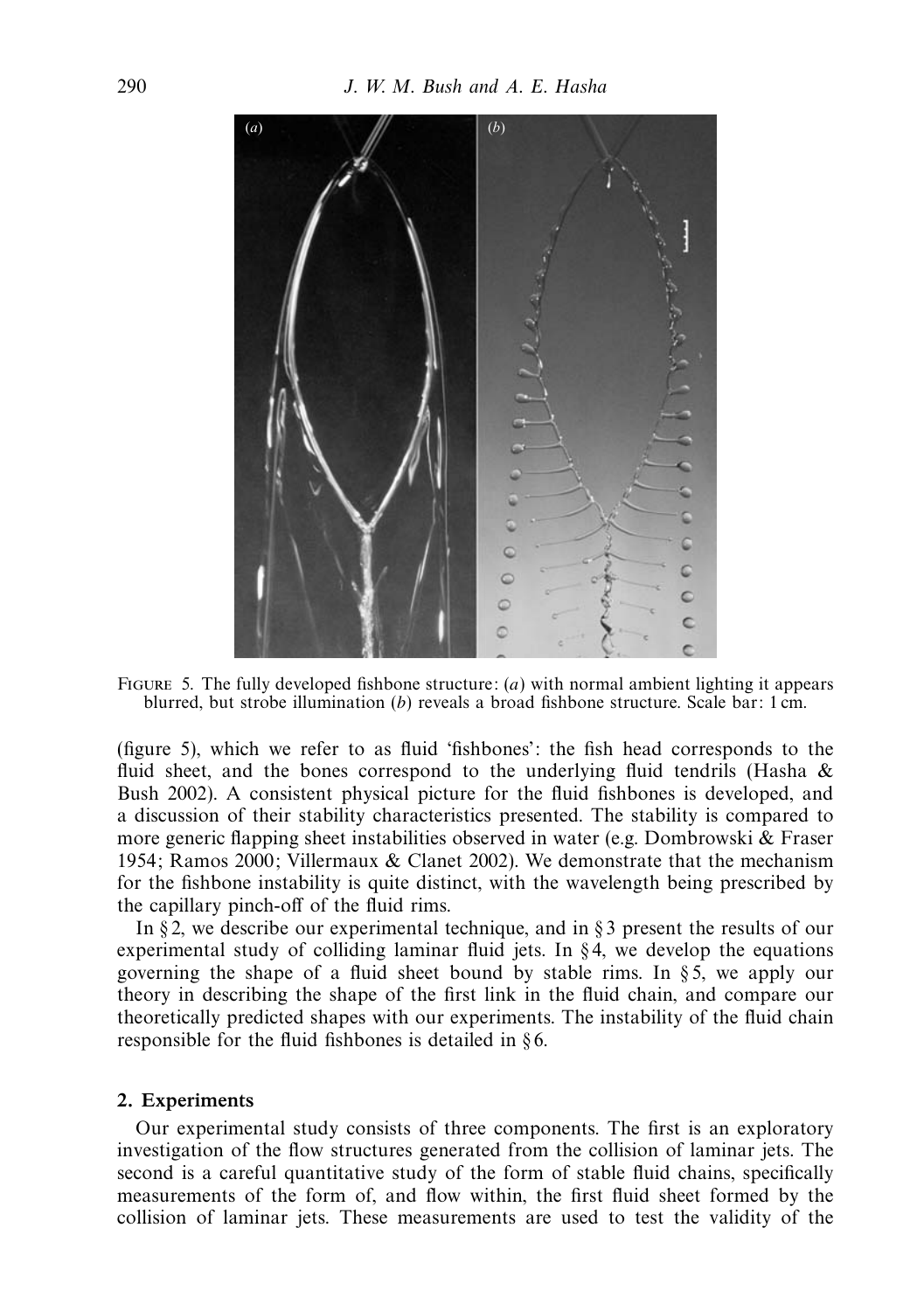

Figure 5. The fully developed fishbone structure: (*a*) with normal ambient lighting it appears blurred, but strobe illumination (*b*) reveals a broad fishbone structure. Scale bar: 1 cm.

(figure 5), which we refer to as fluid 'fishbones': the fish head corresponds to the fluid sheet, and the bones correspond to the underlying fluid tendrils (Hasha & Bush 2002). A consistent physical picture for the fluid fishbones is developed, and a discussion of their stability characteristics presented. The stability is compared to more generic flapping sheet instabilities observed in water (e.g. Dombrowski & Fraser 1954; Ramos 2000; Villermaux & Clanet 2002). We demonstrate that the mechanism for the fishbone instability is quite distinct, with the wavelength being prescribed by the capillary pinch-off of the fluid rims.

In §2, we describe our experimental technique, and in §3 present the results of our experimental study of colliding laminar fluid jets. In  $\S 4$ , we develop the equations governing the shape of a fluid sheet bound by stable rims. In § 5, we apply our theory in describing the shape of the first link in the fluid chain, and compare our theoretically predicted shapes with our experiments. The instability of the fluid chain responsible for the fluid fishbones is detailed in § 6.

#### *2. Experiments*

Our experimental study consists of three components. The first is an exploratory investigation of the flow structures generated from the collision of laminar jets. The second is a careful quantitative study of the form of stable fluid chains, specifically measurements of the form of, and flow within, the first fluid sheet formed by the collision of laminar jets. These measurements are used to test the validity of the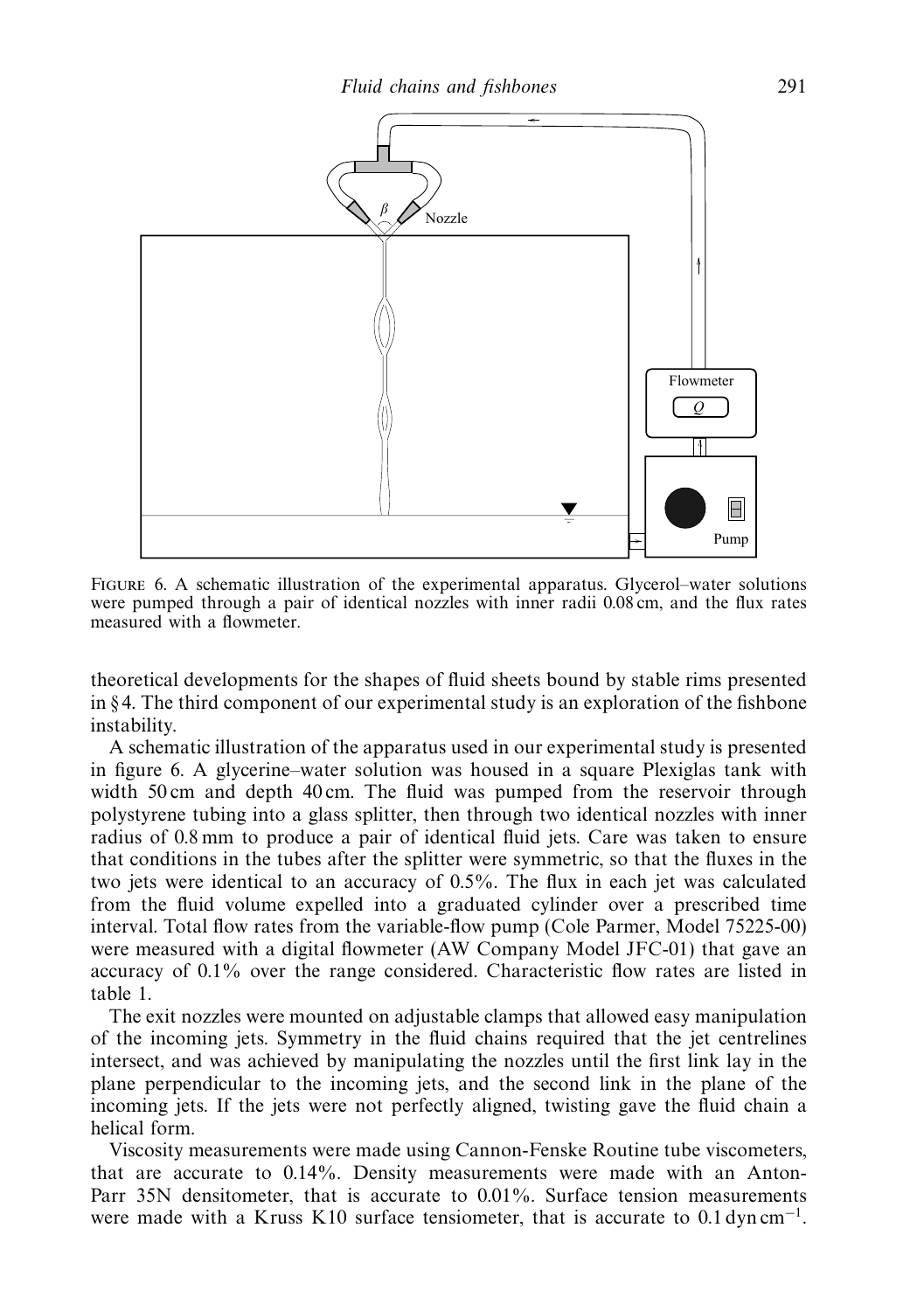

Figure 6. A schematic illustration of the experimental apparatus. Glycerol–water solutions were pumped through a pair of identical nozzles with inner radii 0.08 cm, and the flux rates measured with a flowmeter.

theoretical developments for the shapes of fluid sheets bound by stable rims presented in § 4. The third component of our experimental study is an exploration of the fishbone instability.

A schematic illustration of the apparatus used in our experimental study is presented in figure 6. A glycerine–water solution was housed in a square Plexiglas tank with width 50 cm and depth 40 cm. The fluid was pumped from the reservoir through polystyrene tubing into a glass splitter, then through two identical nozzles with inner radius of 0.8 mm to produce a pair of identical fluid jets. Care was taken to ensure that conditions in the tubes after the splitter were symmetric, so that the fluxes in the two jets were identical to an accuracy of 0.5%. The flux in each jet was calculated from the fluid volume expelled into a graduated cylinder over a prescribed time interval. Total flow rates from the variable-flow pump (Cole Parmer, Model 75225-00) were measured with a digital flowmeter (AW Company Model JFC-01) that gave an accuracy of 0.1% over the range considered. Characteristic flow rates are listed in table 1.

The exit nozzles were mounted on adjustable clamps that allowed easy manipulation of the incoming jets. Symmetry in the fluid chains required that the jet centrelines intersect, and was achieved by manipulating the nozzles until the first link lay in the plane perpendicular to the incoming jets, and the second link in the plane of the incoming jets. If the jets were not perfectly aligned, twisting gave the fluid chain a helical form.

Viscosity measurements were made using Cannon-Fenske Routine tube viscometers, that are accurate to 0.14%. Density measurements were made with an Anton-Parr 35N densitometer, that is accurate to 0.01%. Surface tension measurements were made with a Kruss K10 surface tensiometer, that is accurate to  $0.1 \text{ dyn cm}^{-1}$ .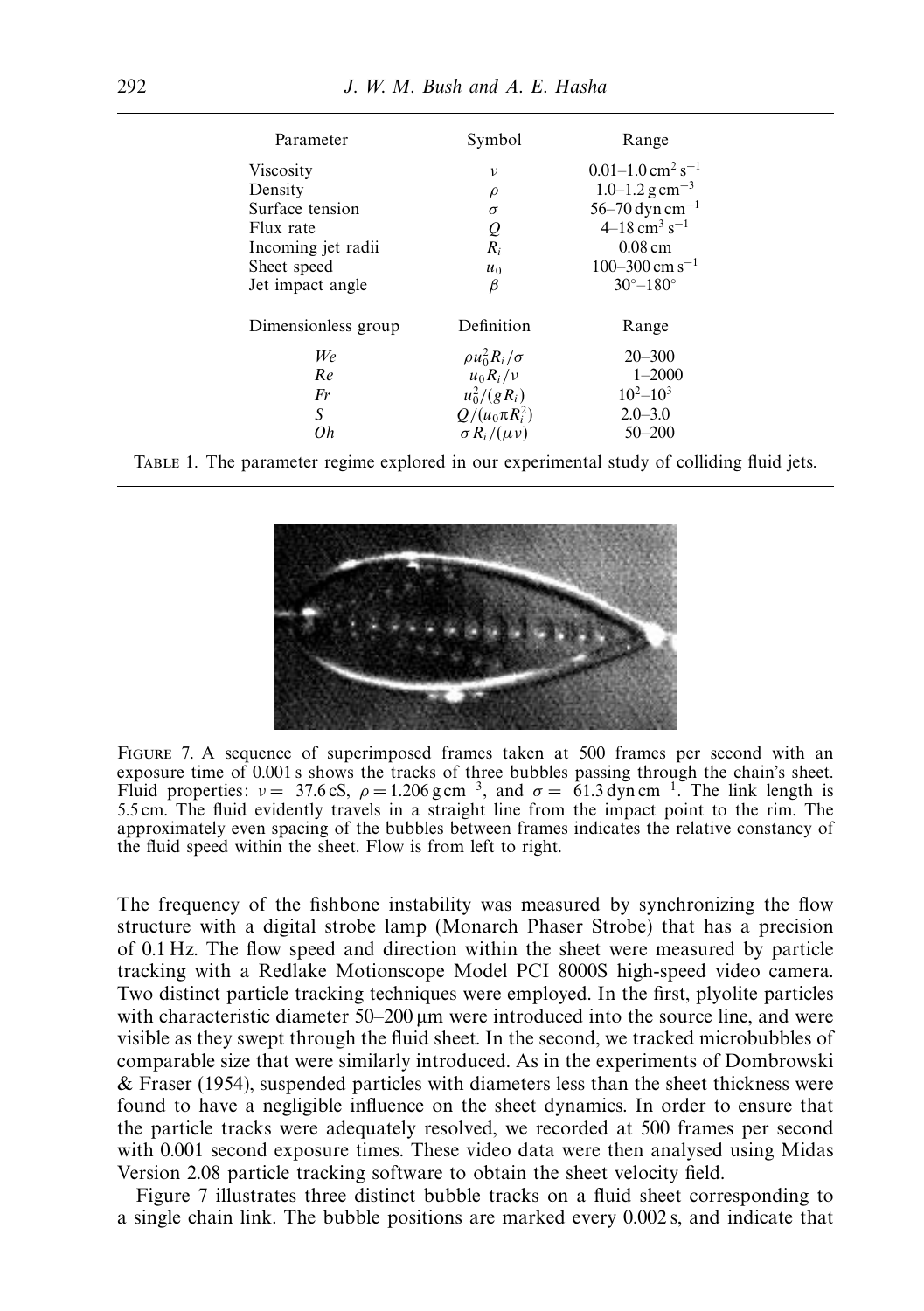| Parameter           | Symbol                  | Range                                        |
|---------------------|-------------------------|----------------------------------------------|
| Viscosity           | $\mathcal{V}$           | $0.01 - 1.0$ cm <sup>2</sup> s <sup>-1</sup> |
| Density             | $\rho$                  | $1.0 - 1.2$ g cm <sup>-3</sup>               |
| Surface tension     | $\sigma$                | 56–70 dyn cm <sup>-1</sup>                   |
| Flux rate           | Q                       | $4-18$ cm <sup>3</sup> s <sup>-1</sup>       |
| Incoming jet radii  | $R_i$                   | $0.08 \text{ cm}$                            |
| Sheet speed         | $u_0$                   | $100 - 300$ cm s <sup>-1</sup>               |
| Jet impact angle    | β                       | $30^{\circ} - 180^{\circ}$                   |
| Dimensionless group | Definition              | Range                                        |
| We                  | $\rho u_0^2 R_i/\sigma$ | $20 - 300$                                   |
| Re                  | $u_0 R_i/v$             | $1 - 2000$                                   |
| Fr                  | $u_0^2/(gR_i)$          | $10^{2}-10^{3}$                              |
| S                   | $Q/(u_0 \pi R_i^2)$     | $2.0 - 3.0$                                  |
| Оh                  | $\sigma R_i/(\mu\nu)$   | $50 - 200$                                   |

Table 1. The parameter regime explored in our experimental study of colliding fluid jets.



Figure 7. A sequence of superimposed frames taken at 500 frames per second with an exposure time of 0.001 s shows the tracks of three bubbles passing through the chain's sheet. Fluid properties:  $v = 37.6 \text{ cS}$ ,  $\rho = 1.206 \text{ g cm}^{-3}$ , and  $\sigma = 61.3 \text{ dyn cm}^{-1}$ . The link length is 5.5 cm. The fluid evidently travels in a straight line from the impact point to the rim. The approximately even spacing of the bubbles between frames indicates the relative constancy of the fluid speed within the sheet. Flow is from left to right.

The frequency of the fishbone instability was measured by synchronizing the flow structure with a digital strobe lamp (Monarch Phaser Strobe) that has a precision of 0.1 Hz. The flow speed and direction within the sheet were measured by particle tracking with a Redlake Motionscope Model PCI 8000S high-speed video camera. Two distinct particle tracking techniques were employed. In the first, plyolite particles with characteristic diameter 50–200 µm were introduced into the source line, and were visible as they swept through the fluid sheet. In the second, we tracked microbubbles of comparable size that were similarly introduced. As in the experiments of Dombrowski & Fraser (1954), suspended particles with diameters less than the sheet thickness were found to have a negligible influence on the sheet dynamics. In order to ensure that the particle tracks were adequately resolved, we recorded at 500 frames per second with 0.001 second exposure times. These video data were then analysed using Midas Version 2.08 particle tracking software to obtain the sheet velocity field.

Figure 7 illustrates three distinct bubble tracks on a fluid sheet corresponding to a single chain link. The bubble positions are marked every 0.002 s, and indicate that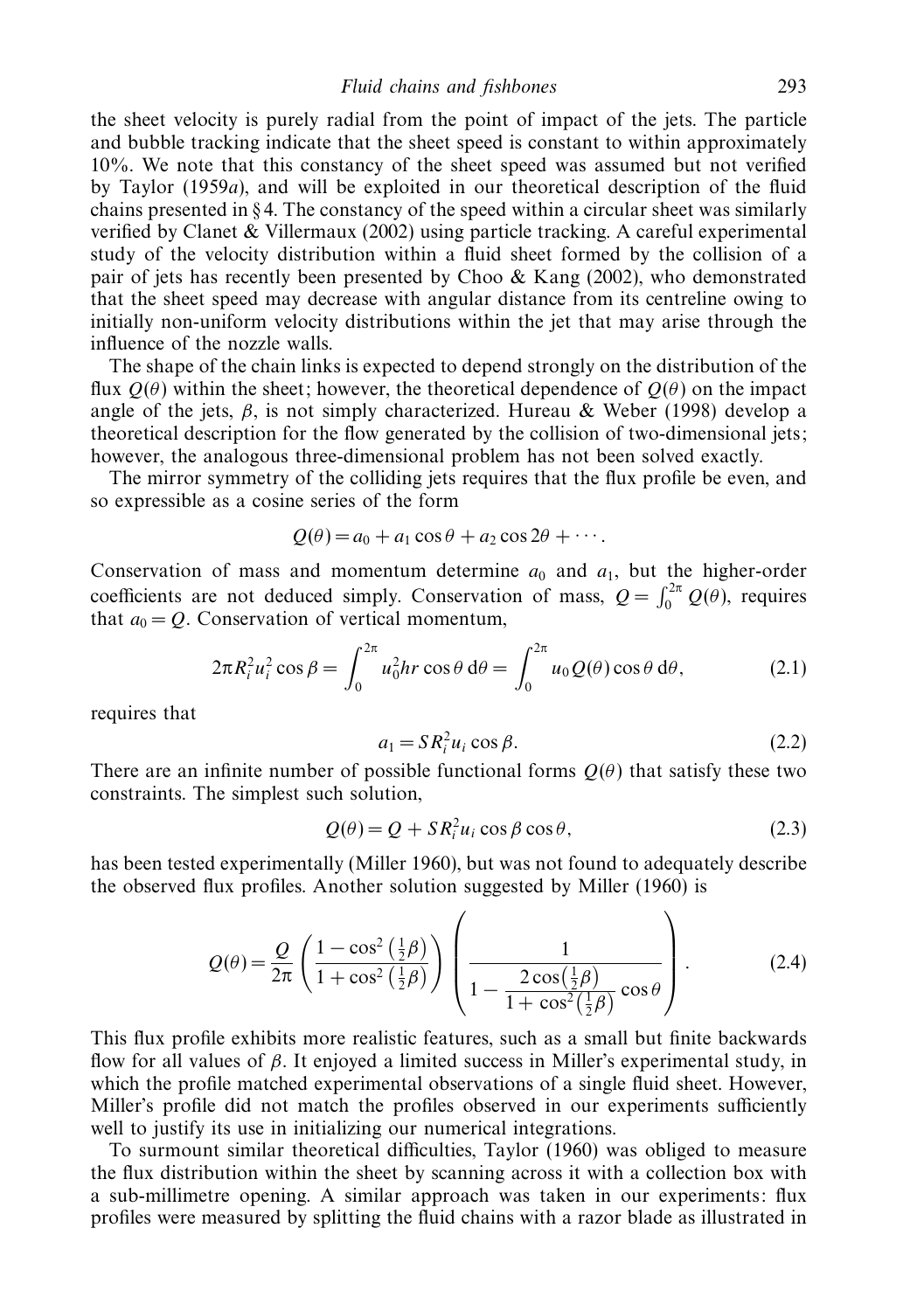the sheet velocity is purely radial from the point of impact of the jets. The particle and bubble tracking indicate that the sheet speed is constant to within approximately 10%. We note that this constancy of the sheet speed was assumed but not verified by Taylor (1959a), and will be exploited in our theoretical description of the fluid chains presented in § 4. The constancy of the speed within a circular sheet was similarly verified by Clanet & Villermaux (2002) using particle tracking. A careful experimental study of the velocity distribution within a fluid sheet formed by the collision of a pair of jets has recently been presented by Choo  $\&$  Kang (2002), who demonstrated that the sheet speed may decrease with angular distance from its centreline owing to initially non-uniform velocity distributions within the jet that may arise through the influence of the nozzle walls.

The shape of the chain links is expected to depend strongly on the distribution of the flux  $Q(\theta)$  within the sheet; however, the theoretical dependence of  $Q(\theta)$  on the impact angle of the jets,  $\beta$ , is not simply characterized. Hureau & Weber (1998) develop a theoretical description for the flow generated by the collision of two-dimensional jets; however, the analogous three-dimensional problem has not been solved exactly.

The mirror symmetry of the colliding jets requires that the flux profile be even, and so expressible as a cosine series of the form

$$
Q(\theta) = a_0 + a_1 \cos \theta + a_2 \cos 2\theta + \cdots
$$

Conservation of mass and momentum determine  $a_0$  and  $a_1$ , but the higher-order coefficients are not deduced simply. Conservation of mass,  $Q = \int_0^{2\pi} Q(\theta)$ , requires that  $a_0 = Q$ . Conservation of vertical momentum,

$$
2\pi R_i^2 u_i^2 \cos \beta = \int_0^{2\pi} u_0^2 hr \cos \theta \, d\theta = \int_0^{2\pi} u_0 Q(\theta) \cos \theta \, d\theta, \tag{2.1}
$$

requires that

$$
a_1 = SR_i^2 u_i \cos \beta. \tag{2.2}
$$

There are an infinite number of possible functional forms  $O(\theta)$  that satisfy these two constraints. The simplest such solution,

$$
Q(\theta) = Q + SR_i^2 u_i \cos \beta \cos \theta, \qquad (2.3)
$$

has been tested experimentally (Miller 1960), but was not found to adequately describe the observed flux profiles. Another solution suggested by Miller (1960) is

$$
Q(\theta) = \frac{Q}{2\pi} \left( \frac{1 - \cos^2\left(\frac{1}{2}\beta\right)}{1 + \cos^2\left(\frac{1}{2}\beta\right)} \right) \left( \frac{1}{1 - \frac{2\cos\left(\frac{1}{2}\beta\right)}{1 + \cos^2\left(\frac{1}{2}\beta\right)}\cos\theta} \right).
$$
(2.4)

This flux profile exhibits more realistic features, such as a small but finite backwards flow for all values of *β*. It enjoyed a limited success in Miller's experimental study, in which the profile matched experimental observations of a single fluid sheet. However, Miller's profile did not match the profiles observed in our experiments sufficiently well to justify its use in initializing our numerical integrations.

To surmount similar theoretical difficulties, Taylor (1960) was obliged to measure the flux distribution within the sheet by scanning across it with a collection box with a sub-millimetre opening. A similar approach was taken in our experiments: flux profiles were measured by splitting the fluid chains with a razor blade as illustrated in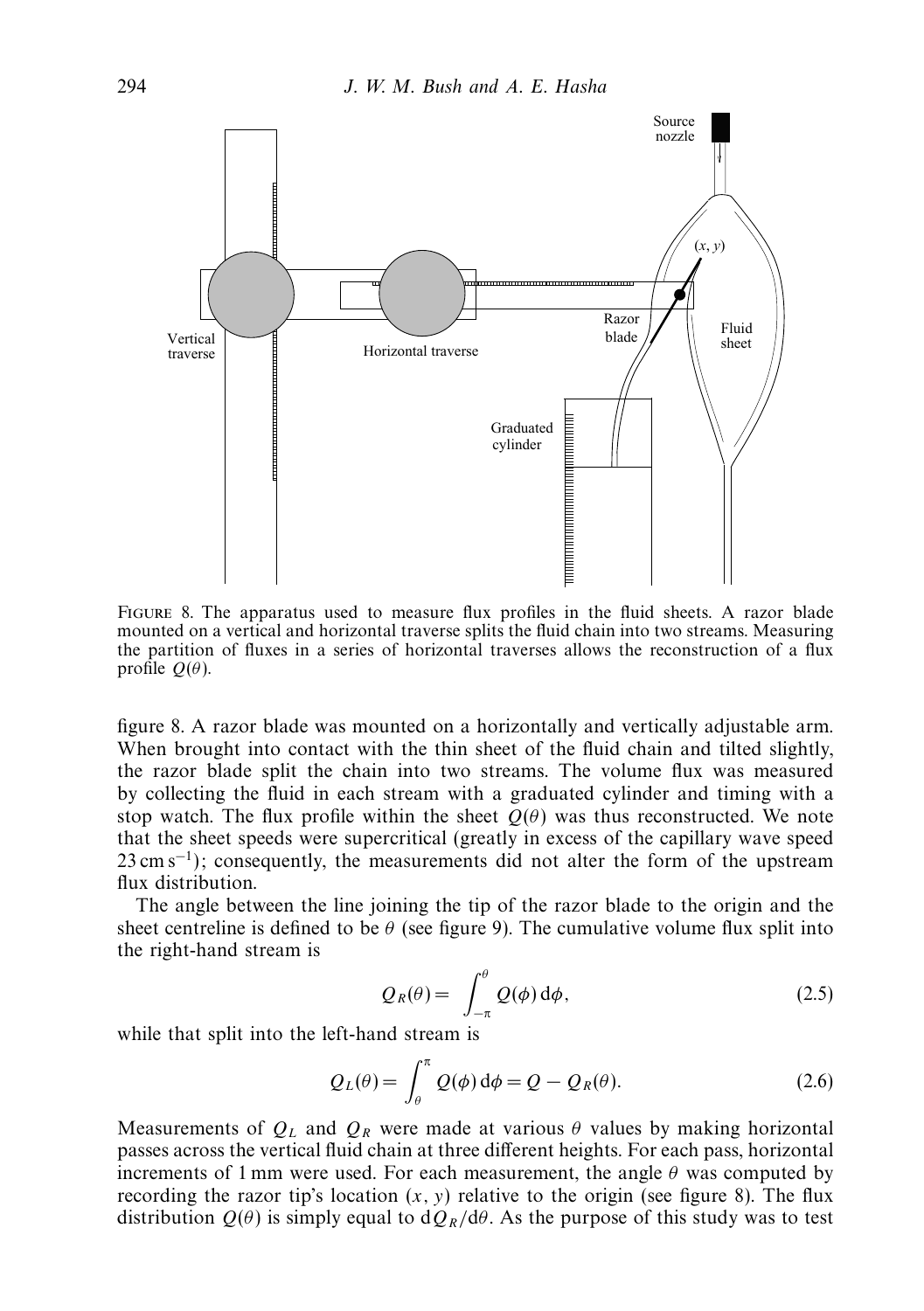

Figure 8. The apparatus used to measure flux profiles in the fluid sheets. A razor blade mounted on a vertical and horizontal traverse splits the fluid chain into two streams. Measuring the partition of fluxes in a series of horizontal traverses allows the reconstruction of a flux profile  $Q(\theta)$ .

figure 8. A razor blade was mounted on a horizontally and vertically adjustable arm. When brought into contact with the thin sheet of the fluid chain and tilted slightly, the razor blade split the chain into two streams. The volume flux was measured by collecting the fluid in each stream with a graduated cylinder and timing with a stop watch. The flux profile within the sheet  $Q(\theta)$  was thus reconstructed. We note that the sheet speeds were supercritical (greatly in excess of the capillary wave speed 23 cm s<sup>-1</sup>); consequently, the measurements did not alter the form of the upstream flux distribution.

The angle between the line joining the tip of the razor blade to the origin and the sheet centreline is defined to be  $\theta$  (see figure 9). The cumulative volume flux split into the right-hand stream is

$$
Q_R(\theta) = \int_{-\pi}^{\theta} Q(\phi) d\phi, \qquad (2.5)
$$

while that split into the left-hand stream is

$$
Q_L(\theta) = \int_{\theta}^{\pi} Q(\phi) d\phi = Q - Q_R(\theta).
$$
 (2.6)

Measurements of  $Q_L$  and  $Q_R$  were made at various  $\theta$  values by making horizontal passes across the vertical fluid chain at three different heights. For each pass, horizontal increments of 1 mm were used. For each measurement, the angle  $\theta$  was computed by recording the razor tip's location  $(x, y)$  relative to the origin (see figure 8). The flux distribution  $Q(\theta)$  is simply equal to  $dQ_R/d\theta$ . As the purpose of this study was to test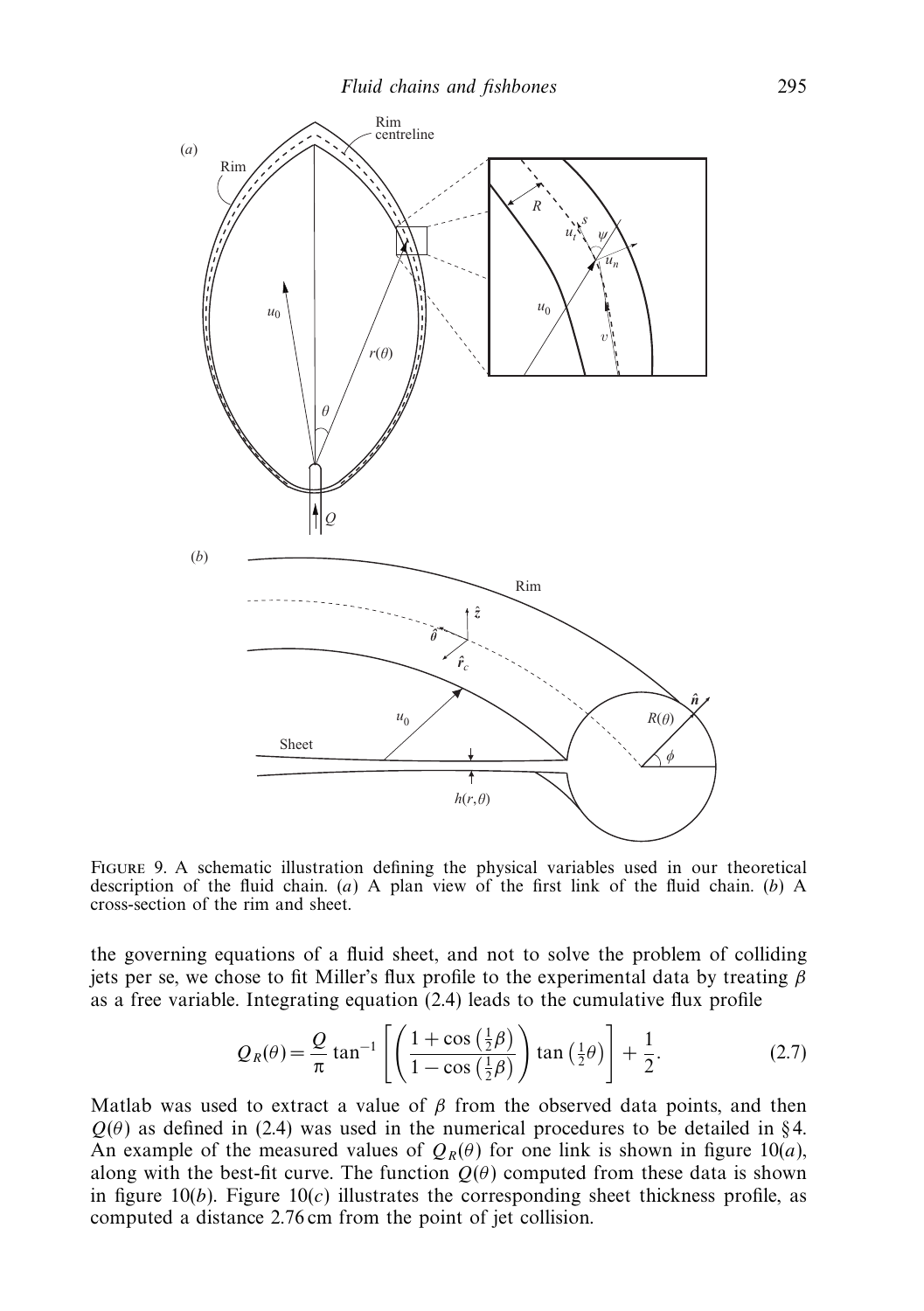

Figure 9. A schematic illustration defining the physical variables used in our theoretical description of the fluid chain. (*a*) A plan view of the first link of the fluid chain. (*b*) A cross-section of the rim and sheet.

the governing equations of a fluid sheet, and not to solve the problem of colliding jets per se, we chose to fit Miller's flux profile to the experimental data by treating *β* as a free variable. Integrating equation (2.4) leads to the cumulative flux profile

$$
Q_R(\theta) = \frac{Q}{\pi} \tan^{-1} \left[ \left( \frac{1 + \cos\left(\frac{1}{2}\beta\right)}{1 - \cos\left(\frac{1}{2}\beta\right)} \right) \tan\left(\frac{1}{2}\theta\right) \right] + \frac{1}{2}.
$$
 (2.7)

Matlab was used to extract a value of  $\beta$  from the observed data points, and then  $Q(\theta)$  as defined in (2.4) was used in the numerical procedures to be detailed in §4. An example of the measured values of  $Q_R(\theta)$  for one link is shown in figure 10(*a*), along with the best-fit curve. The function  $Q(\theta)$  computed from these data is shown in figure  $10(b)$ . Figure  $10(c)$  illustrates the corresponding sheet thickness profile, as computed a distance 2.76 cm from the point of jet collision.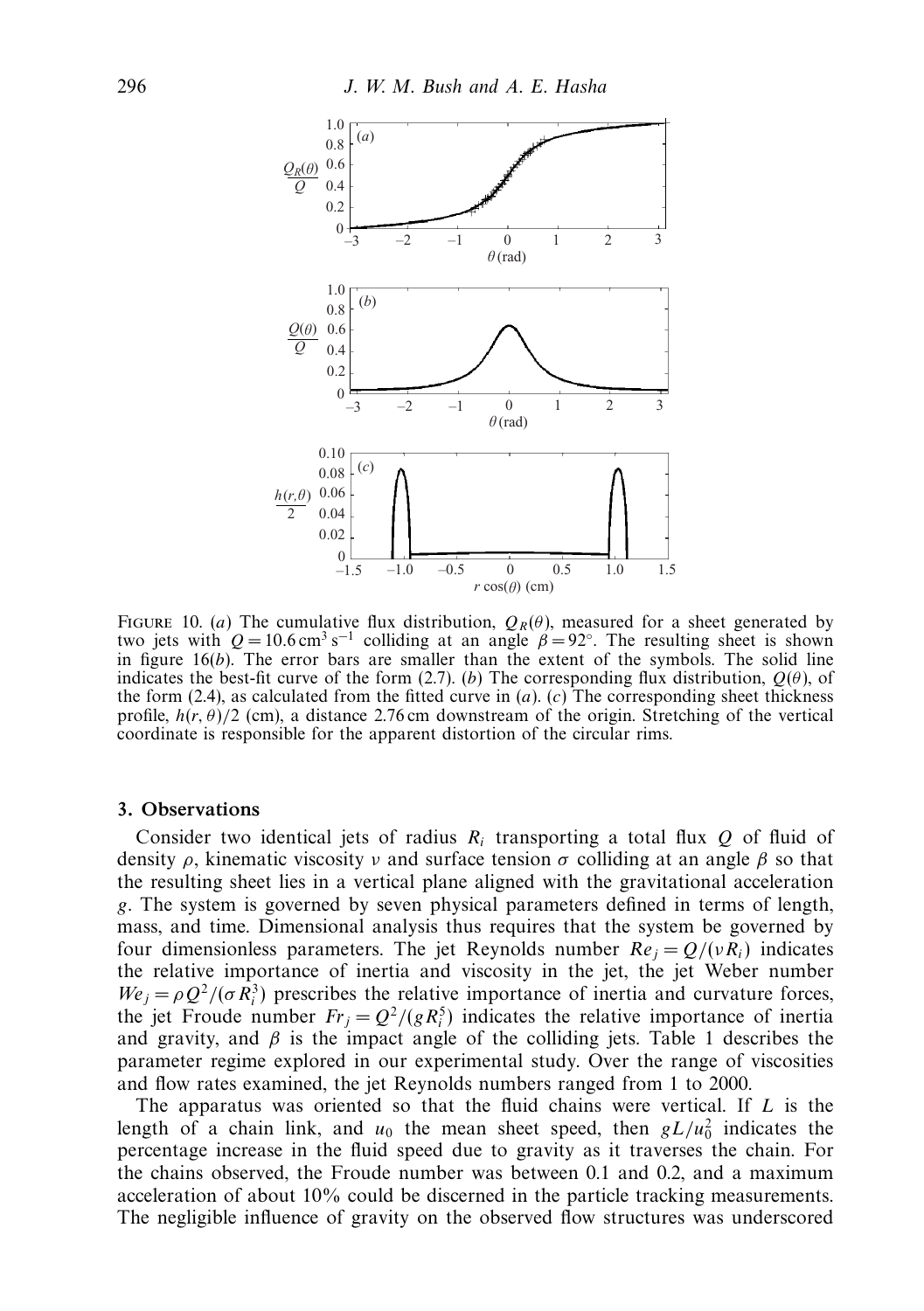

FIGURE 10. (*a*) The cumulative flux distribution,  $Q_R(\theta)$ , measured for a sheet generated by two jets with  $Q = 10.6 \text{ cm}^3 \text{ s}^{-1}$  colliding at an angle  $\beta = 92^\circ$ . The resulting sheet is shown in figure 16(*b*). The error bars are smaller than the extent of the symbols. The solid line indicates the best-fit curve of the form (2.7). (*b*) The corresponding flux distribution, *Q*(*θ*), of the form (2.4), as calculated from the fitted curve in  $(a)$ .  $(c)$  The corresponding sheet thickness profile,  $h(r, \theta)/2$  (cm), a distance 2.76 cm downstream of the origin. Stretching of the vertical coordinate is responsible for the apparent distortion of the circular rims.

#### *3. Observations*

Consider two identical jets of radius  $R_i$  transporting a total flux  $Q$  of fluid of density *ρ*, kinematic viscosity *ν* and surface tension *σ* colliding at an angle *β* so that the resulting sheet lies in a vertical plane aligned with the gravitational acceleration *g*. The system is governed by seven physical parameters defined in terms of length, mass, and time. Dimensional analysis thus requires that the system be governed by four dimensionless parameters. The jet Reynolds number  $Re_i = Q/(vR_i)$  indicates the relative importance of inertia and viscosity in the jet, the jet Weber number  $W e_j = \rho Q^2 / (\sigma R_i^3)$  prescribes the relative importance of inertia and curvature forces, the jet Froude number  $Fr_j = Q^2/(gR_i^5)$  indicates the relative importance of inertia and gravity, and  $\beta$  is the impact angle of the colliding jets. Table 1 describes the parameter regime explored in our experimental study. Over the range of viscosities and flow rates examined, the jet Reynolds numbers ranged from 1 to 2000.

The apparatus was oriented so that the fluid chains were vertical. If *L* is the length of a chain link, and  $u_0$  the mean sheet speed, then  $gL/u_0^2$  indicates the percentage increase in the fluid speed due to gravity as it traverses the chain. For the chains observed, the Froude number was between 0.1 and 0.2, and a maximum acceleration of about 10% could be discerned in the particle tracking measurements. The negligible influence of gravity on the observed flow structures was underscored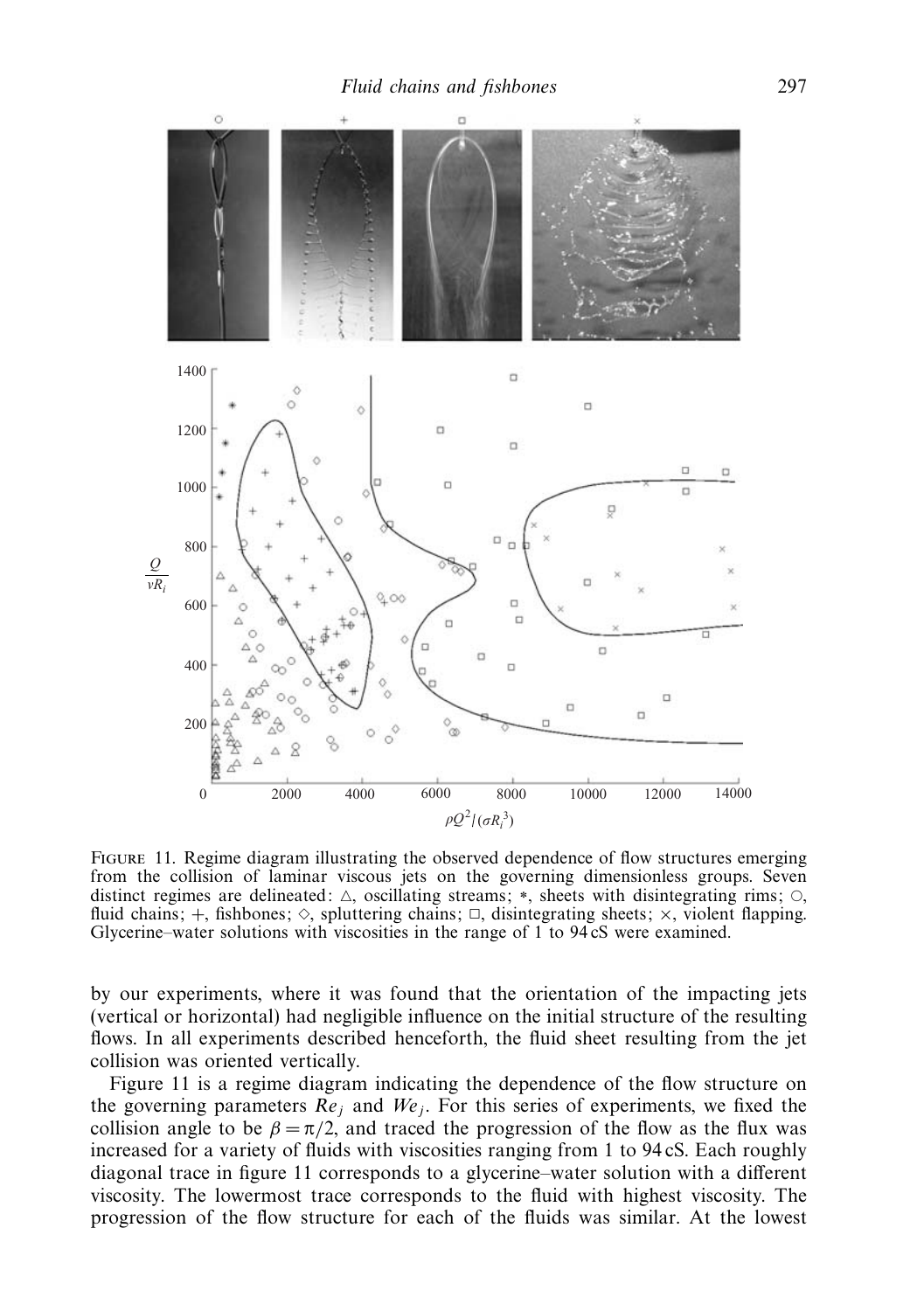

FIGURE 11. Regime diagram illustrating the observed dependence of flow structures emerging from the collision of laminar viscous jets on the governing dimensionless groups. Seven distinct regimes are delineated:  $\triangle$ , oscillating streams; \*, sheets with disintegrating rims;  $\circ$ , fluid chains;  $+$ , fishbones;  $\Diamond$ , spluttering chains;  $\Box$ , disintegrating sheets;  $\times$ , violent flapping. Glycerine–water solutions with viscosities in the range of 1 to 94 cS were examined.

by our experiments, where it was found that the orientation of the impacting jets (vertical or horizontal) had negligible influence on the initial structure of the resulting flows. In all experiments described henceforth, the fluid sheet resulting from the jet collision was oriented vertically.

Figure 11 is a regime diagram indicating the dependence of the flow structure on the governing parameters  $\overline{Re}_i$  and  $We_j$ . For this series of experiments, we fixed the collision angle to be  $\beta = \pi/2$ , and traced the progression of the flow as the flux was increased for a variety of fluids with viscosities ranging from 1 to 94 cS. Each roughly diagonal trace in figure 11 corresponds to a glycerine–water solution with a different viscosity. The lowermost trace corresponds to the fluid with highest viscosity. The progression of the flow structure for each of the fluids was similar. At the lowest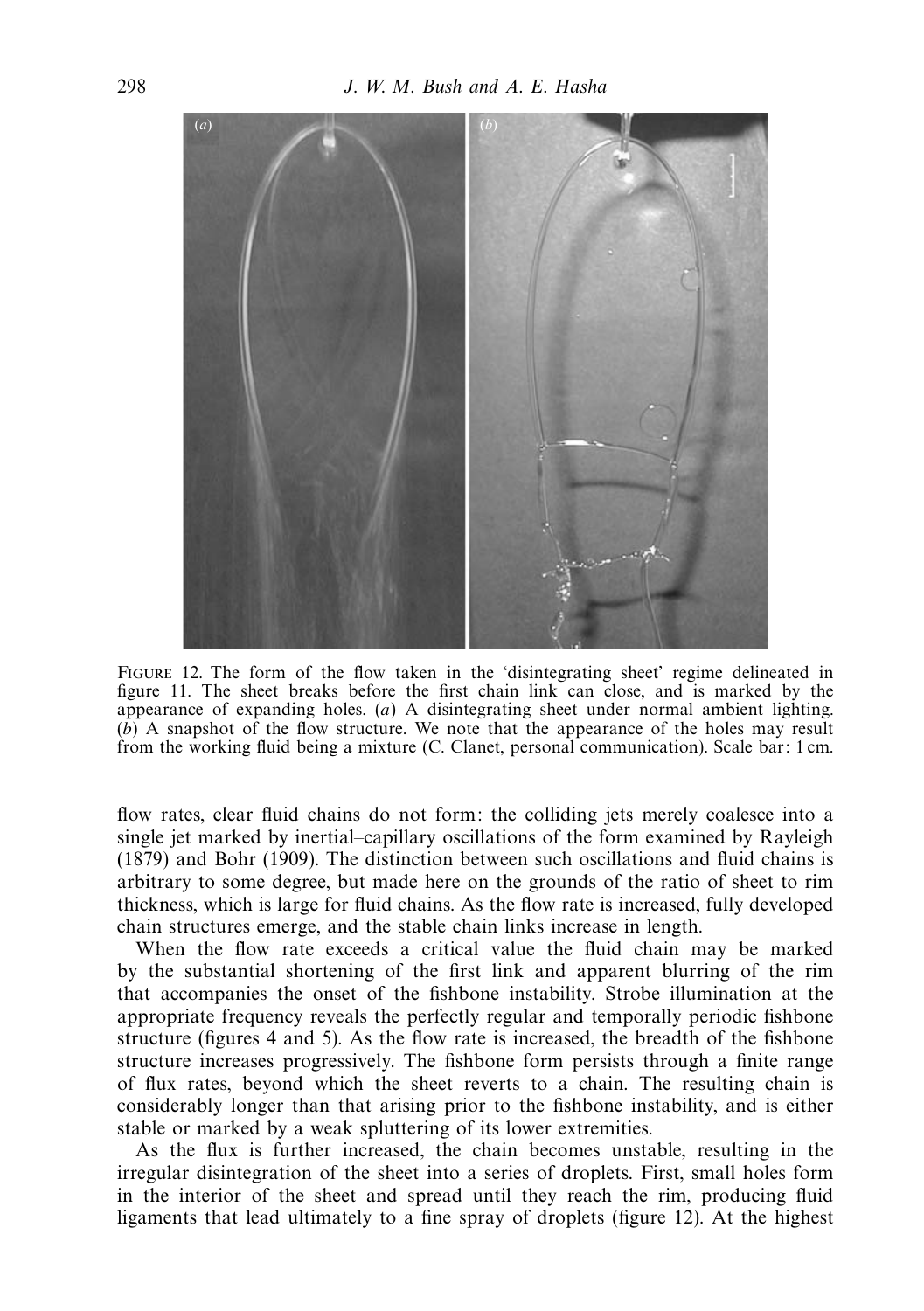

Figure 12. The form of the flow taken in the 'disintegrating sheet' regime delineated in figure 11. The sheet breaks before the first chain link can close, and is marked by the appearance of expanding holes. (*a*) A disintegrating sheet under normal ambient lighting. (*b*) A snapshot of the flow structure. We note that the appearance of the holes may result from the working fluid being a mixture (C. Clanet, personal communication). Scale bar: 1 cm.

flow rates, clear fluid chains do not form: the colliding jets merely coalesce into a single jet marked by inertial–capillary oscillations of the form examined by Rayleigh (1879) and Bohr (1909). The distinction between such oscillations and fluid chains is arbitrary to some degree, but made here on the grounds of the ratio of sheet to rim thickness, which is large for fluid chains. As the flow rate is increased, fully developed chain structures emerge, and the stable chain links increase in length.

When the flow rate exceeds a critical value the fluid chain may be marked by the substantial shortening of the first link and apparent blurring of the rim that accompanies the onset of the fishbone instability. Strobe illumination at the appropriate frequency reveals the perfectly regular and temporally periodic fishbone structure (figures 4 and 5). As the flow rate is increased, the breadth of the fishbone structure increases progressively. The fishbone form persists through a finite range of flux rates, beyond which the sheet reverts to a chain. The resulting chain is considerably longer than that arising prior to the fishbone instability, and is either stable or marked by a weak spluttering of its lower extremities.

As the flux is further increased, the chain becomes unstable, resulting in the irregular disintegration of the sheet into a series of droplets. First, small holes form in the interior of the sheet and spread until they reach the rim, producing fluid ligaments that lead ultimately to a fine spray of droplets (figure 12). At the highest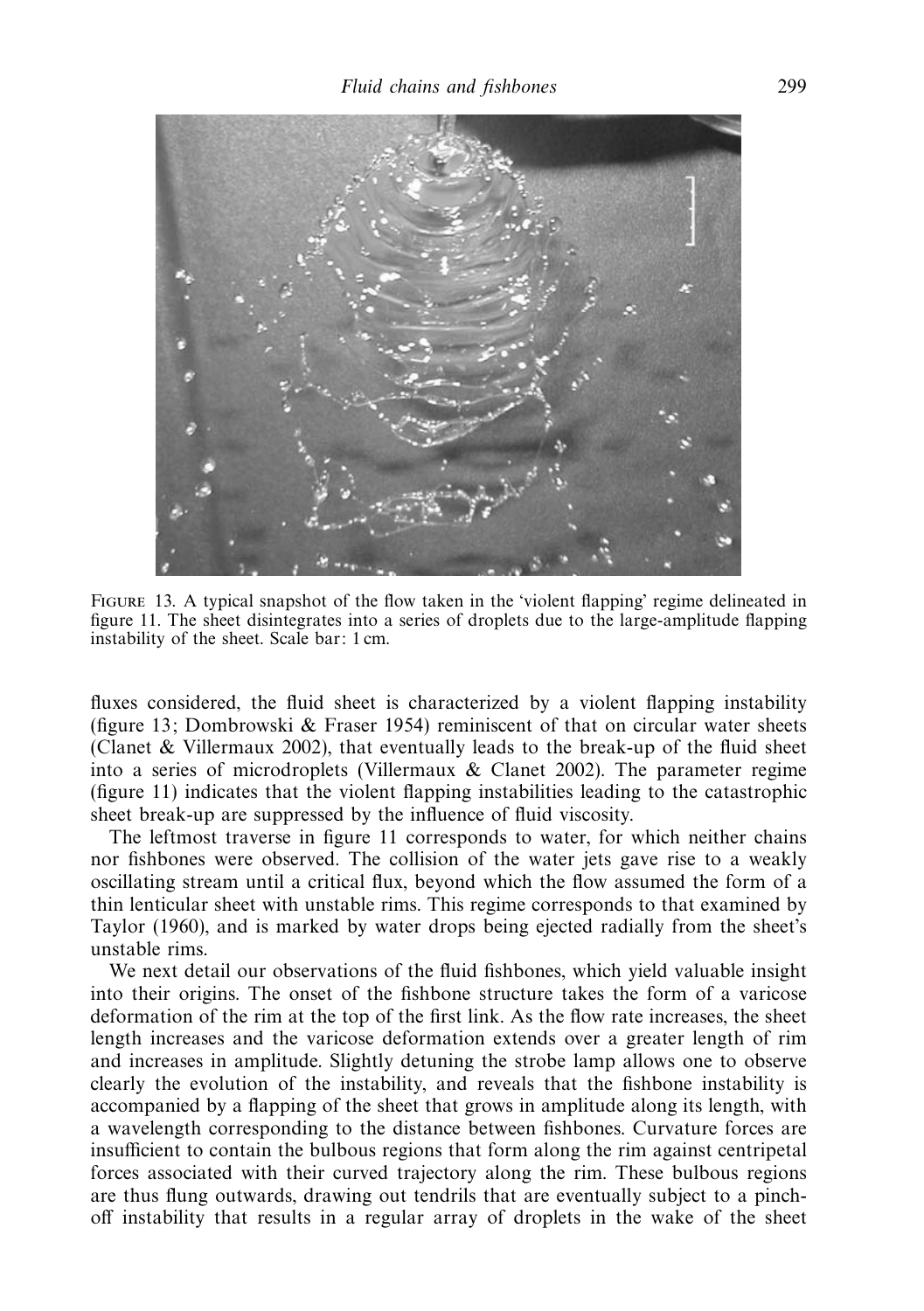

Figure 13. A typical snapshot of the flow taken in the 'violent flapping' regime delineated in figure 11. The sheet disintegrates into a series of droplets due to the large-amplitude flapping instability of the sheet. Scale bar: 1 cm.

fluxes considered, the fluid sheet is characterized by a violent flapping instability (figure 13; Dombrowski  $\&$  Fraser 1954) reminiscent of that on circular water sheets (Clanet & Villermaux 2002), that eventually leads to the break-up of the fluid sheet into a series of microdroplets (Villermaux & Clanet 2002). The parameter regime (figure 11) indicates that the violent flapping instabilities leading to the catastrophic sheet break-up are suppressed by the influence of fluid viscosity.

The leftmost traverse in figure 11 corresponds to water, for which neither chains nor fishbones were observed. The collision of the water jets gave rise to a weakly oscillating stream until a critical flux, beyond which the flow assumed the form of a thin lenticular sheet with unstable rims. This regime corresponds to that examined by Taylor (1960), and is marked by water drops being ejected radially from the sheet's unstable rims.

We next detail our observations of the fluid fishbones, which yield valuable insight into their origins. The onset of the fishbone structure takes the form of a varicose deformation of the rim at the top of the first link. As the flow rate increases, the sheet length increases and the varicose deformation extends over a greater length of rim and increases in amplitude. Slightly detuning the strobe lamp allows one to observe clearly the evolution of the instability, and reveals that the fishbone instability is accompanied by a flapping of the sheet that grows in amplitude along its length, with a wavelength corresponding to the distance between fishbones. Curvature forces are insufficient to contain the bulbous regions that form along the rim against centripetal forces associated with their curved trajectory along the rim. These bulbous regions are thus flung outwards, drawing out tendrils that are eventually subject to a pinchoff instability that results in a regular array of droplets in the wake of the sheet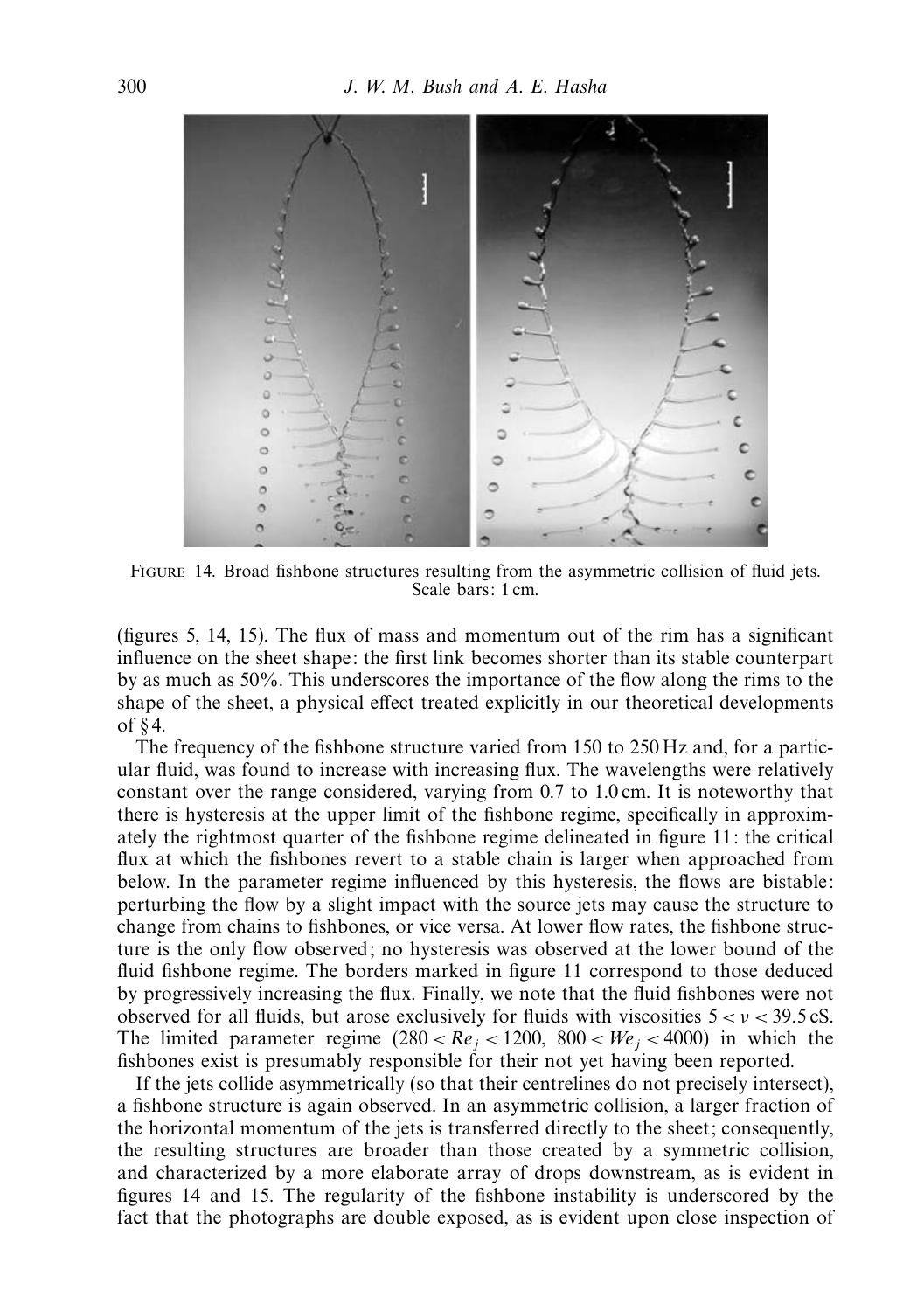

Figure 14. Broad fishbone structures resulting from the asymmetric collision of fluid jets. Scale bars: 1 cm.

(figures 5, 14, 15). The flux of mass and momentum out of the rim has a significant influence on the sheet shape: the first link becomes shorter than its stable counterpart by as much as 50%. This underscores the importance of the flow along the rims to the shape of the sheet, a physical effect treated explicitly in our theoretical developments of  $§$ 4.

The frequency of the fishbone structure varied from 150 to 250 Hz and, for a particular fluid, was found to increase with increasing flux. The wavelengths were relatively constant over the range considered, varying from 0.7 to 1.0 cm. It is noteworthy that there is hysteresis at the upper limit of the fishbone regime, specifically in approximately the rightmost quarter of the fishbone regime delineated in figure 11: the critical flux at which the fishbones revert to a stable chain is larger when approached from below. In the parameter regime influenced by this hysteresis, the flows are bistable: perturbing the flow by a slight impact with the source jets may cause the structure to change from chains to fishbones, or vice versa. At lower flow rates, the fishbone structure is the only flow observed; no hysteresis was observed at the lower bound of the fluid fishbone regime. The borders marked in figure 11 correspond to those deduced by progressively increasing the flux. Finally, we note that the fluid fishbones were not observed for all fluids, but arose exclusively for fluids with viscosities 5 *<ν<* 39*.*5 cS. The limited parameter regime  $(280 < Re_j < 1200, 800 < We_j < 4000)$  in which the fishbones exist is presumably responsible for their not yet having been reported.

If the jets collide asymmetrically (so that their centrelines do not precisely intersect), a fishbone structure is again observed. In an asymmetric collision, a larger fraction of the horizontal momentum of the jets is transferred directly to the sheet; consequently, the resulting structures are broader than those created by a symmetric collision, and characterized by a more elaborate array of drops downstream, as is evident in figures 14 and 15. The regularity of the fishbone instability is underscored by the fact that the photographs are double exposed, as is evident upon close inspection of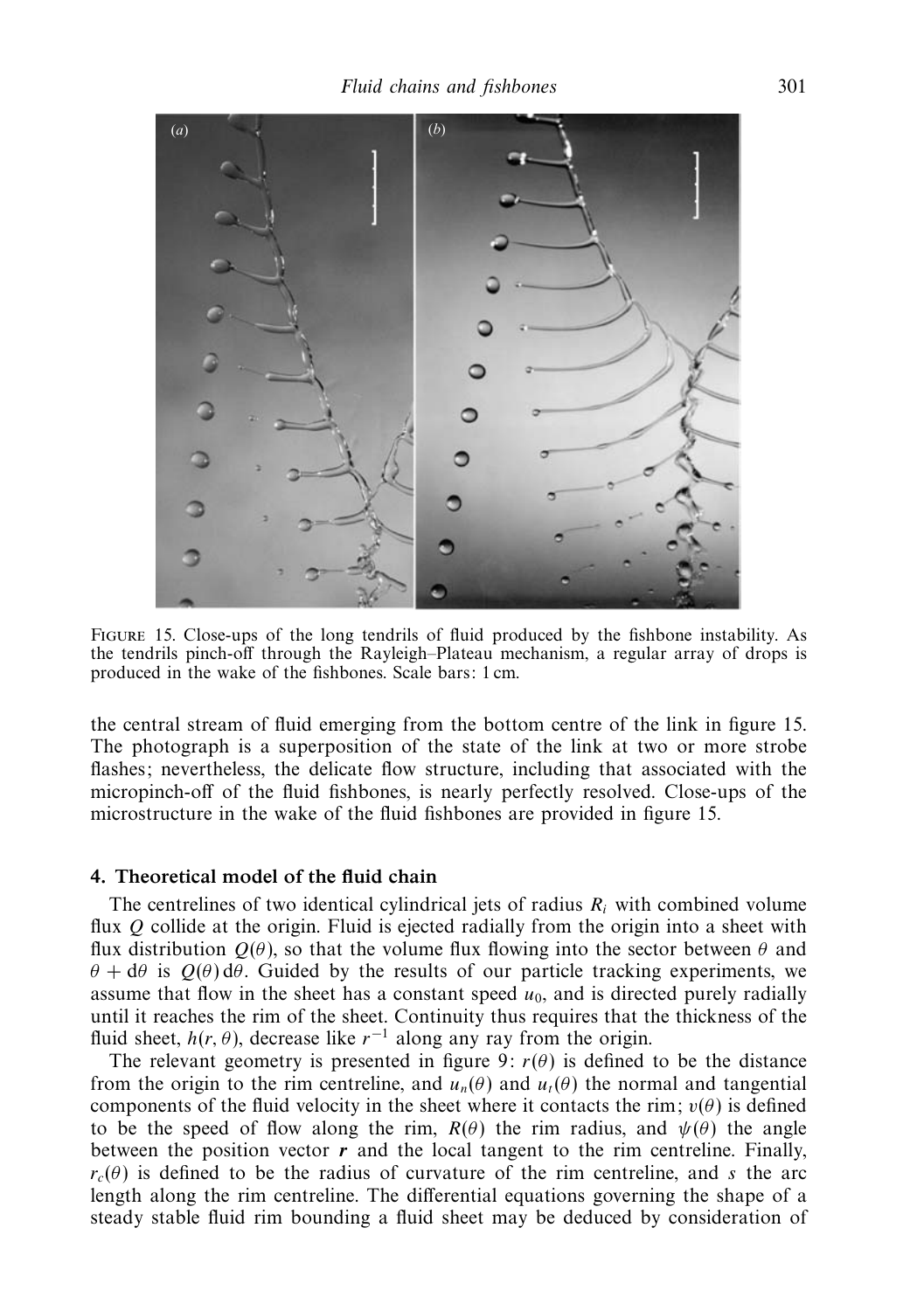

Figure 15. Close-ups of the long tendrils of fluid produced by the fishbone instability. As the tendrils pinch-off through the Rayleigh–Plateau mechanism, a regular array of drops is produced in the wake of the fishbones. Scale bars: 1 cm.

the central stream of fluid emerging from the bottom centre of the link in figure 15. The photograph is a superposition of the state of the link at two or more strobe flashes; nevertheless, the delicate flow structure, including that associated with the micropinch-off of the fluid fishbones, is nearly perfectly resolved. Close-ups of the microstructure in the wake of the fluid fishbones are provided in figure 15.

## *4. Theoretical model of the fluid chain*

The centrelines of two identical cylindrical jets of radius  $R_i$  with combined volume flux *Q* collide at the origin. Fluid is ejected radially from the origin into a sheet with flux distribution *Q*(*θ*), so that the volume flux flowing into the sector between *θ* and *θ* + d*θ* is  $Q$ (*θ*) d*θ*. Guided by the results of our particle tracking experiments, we assume that flow in the sheet has a constant speed  $u<sub>0</sub>$ , and is directed purely radially until it reaches the rim of the sheet. Continuity thus requires that the thickness of the fluid sheet,  $h(r, \theta)$ , decrease like  $r^{-1}$  along any ray from the origin.

The relevant geometry is presented in figure 9:  $r(\theta)$  is defined to be the distance from the origin to the rim centreline, and  $u_n(\theta)$  and  $u_t(\theta)$  the normal and tangential components of the fluid velocity in the sheet where it contacts the rim;  $v(\theta)$  is defined to be the speed of flow along the rim,  $R(\theta)$  the rim radius, and  $\psi(\theta)$  the angle between the position vector  $r$  and the local tangent to the rim centreline. Finally,  $r_c(\theta)$  is defined to be the radius of curvature of the rim centreline, and *s* the arc length along the rim centreline. The differential equations governing the shape of a steady stable fluid rim bounding a fluid sheet may be deduced by consideration of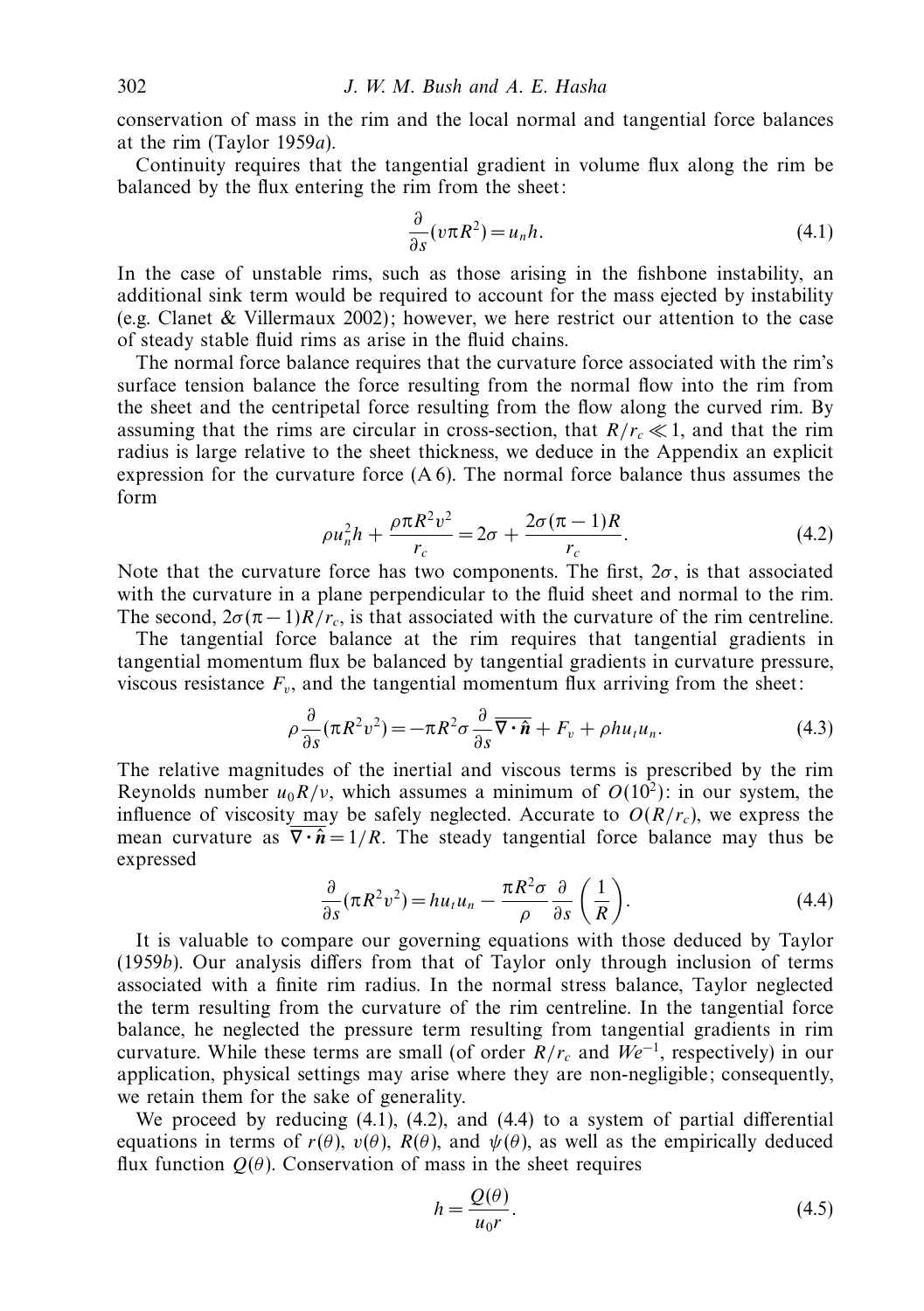conservation of mass in the rim and the local normal and tangential force balances at the rim (Taylor 1959a).

Continuity requires that the tangential gradient in volume flux along the rim be balanced by the flux entering the rim from the sheet:

$$
\frac{\partial}{\partial s}(v\pi R^2) = u_n h. \tag{4.1}
$$

In the case of unstable rims, such as those arising in the fishbone instability, an additional sink term would be required to account for the mass ejected by instability (e.g. Clanet & Villermaux 2002); however, we here restrict our attention to the case of steady stable fluid rims as arise in the fluid chains.

The normal force balance requires that the curvature force associated with the rim's surface tension balance the force resulting from the normal flow into the rim from the sheet and the centripetal force resulting from the flow along the curved rim. By assuming that the rims are circular in cross-section, that  $R/r_c \ll 1$ , and that the rim radius is large relative to the sheet thickness, we deduce in the Appendix an explicit expression for the curvature force  $(A 6)$ . The normal force balance thus assumes the form

$$
\rho u_n^2 h + \frac{\rho \pi R^2 v^2}{r_c} = 2\sigma + \frac{2\sigma (\pi - 1)R}{r_c}.
$$
 (4.2)

Note that the curvature force has two components. The first,  $2\sigma$ , is that associated with the curvature in a plane perpendicular to the fluid sheet and normal to the rim. The second,  $2\sigma(\pi-1)R/r_c$ , is that associated with the curvature of the rim centreline.

The tangential force balance at the rim requires that tangential gradients in tangential momentum flux be balanced by tangential gradients in curvature pressure, viscous resistance  $F_v$ , and the tangential momentum flux arriving from the sheet:

$$
\rho \frac{\partial}{\partial s} (\pi R^2 v^2) = -\pi R^2 \sigma \frac{\partial}{\partial s} \overline{\nabla \cdot \hat{n}} + F_v + \rho h u_t u_n.
$$
\n(4.3)

The relative magnitudes of the inertial and viscous terms is prescribed by the rim Reynolds number  $u_0R/v$ , which assumes a minimum of  $O(10^2)$ : in our system, the influence of viscosity may be safely neglected. Accurate to  $O(R/r_c)$ , we express the mean curvature as  $\overline{\nabla \cdot \hat{n}} = 1/R$ . The steady tangential force balance may thus be expressed

$$
\frac{\partial}{\partial s}(\pi R^2 v^2) = h u_t u_n - \frac{\pi R^2 \sigma}{\rho} \frac{\partial}{\partial s} \left(\frac{1}{R}\right).
$$
 (4.4)

It is valuable to compare our governing equations with those deduced by Taylor (1959b). Our analysis differs from that of Taylor only through inclusion of terms associated with a finite rim radius. In the normal stress balance, Taylor neglected the term resulting from the curvature of the rim centreline. In the tangential force balance, he neglected the pressure term resulting from tangential gradients in rim curvature. While these terms are small (of order  $R/r_c$  and  $We^{-1}$ , respectively) in our application, physical settings may arise where they are non-negligible; consequently, we retain them for the sake of generality.

We proceed by reducing (4.1), (4.2), and (4.4) to a system of partial differential equations in terms of  $r(\theta)$ ,  $v(\theta)$ ,  $R(\theta)$ , and  $\psi(\theta)$ , as well as the empirically deduced flux function  $Q(\theta)$ . Conservation of mass in the sheet requires

$$
h = \frac{Q(\theta)}{u_0 r}.\tag{4.5}
$$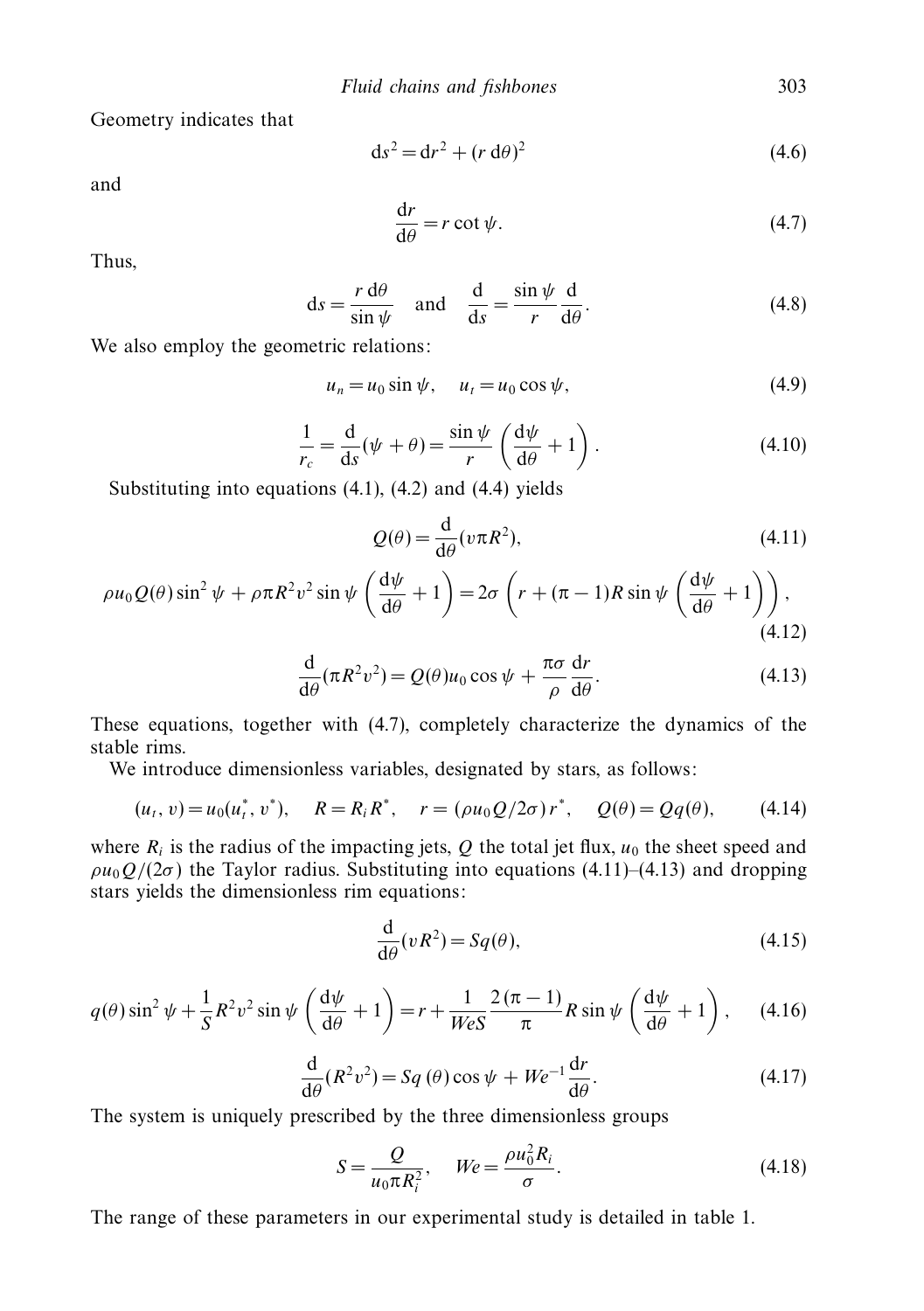Geometry indicates that

$$
ds2 = dr2 + (r d\theta)2
$$
 (4.6)

and

$$
\frac{\mathrm{d}r}{\mathrm{d}\theta} = r \cot \psi. \tag{4.7}
$$

Thus,

$$
ds = \frac{r d\theta}{\sin \psi} \quad \text{and} \quad \frac{d}{ds} = \frac{\sin \psi}{r} \frac{d}{d\theta}.
$$
 (4.8)

We also employ the geometric relations:

$$
u_n = u_0 \sin \psi, \quad u_t = u_0 \cos \psi,
$$
 (4.9)

$$
\frac{1}{r_c} = \frac{d}{ds}(\psi + \theta) = \frac{\sin \psi}{r} \left(\frac{d\psi}{d\theta} + 1\right). \tag{4.10}
$$

Substituting into equations  $(4.1)$ ,  $(4.2)$  and  $(4.4)$  yields

$$
Q(\theta) = \frac{\mathrm{d}}{\mathrm{d}\theta} (v \pi R^2),\tag{4.11}
$$

$$
\rho u_0 Q(\theta) \sin^2 \psi + \rho \pi R^2 v^2 \sin \psi \left(\frac{d\psi}{d\theta} + 1\right) = 2\sigma \left(r + (\pi - 1)R \sin \psi \left(\frac{d\psi}{d\theta} + 1\right)\right),\tag{4.12}
$$

$$
\frac{\mathrm{d}}{\mathrm{d}\theta}(\pi R^2 v^2) = Q(\theta)u_0 \cos \psi + \frac{\pi \sigma}{\rho} \frac{\mathrm{d}r}{\mathrm{d}\theta}.\tag{4.13}
$$

These equations, together with (4.7), completely characterize the dynamics of the stable rims.

We introduce dimensionless variables, designated by stars, as follows:

$$
(u_t, v) = u_0(u_t^*, v^*), \quad R = R_i R^*, \quad r = (\rho u_0 Q/2\sigma) r^*, \quad Q(\theta) = Qq(\theta), \tag{4.14}
$$

where  $R_i$  is the radius of the impacting jets,  $Q$  the total jet flux,  $u_0$  the sheet speed and  $\rho u_0 Q/(2\sigma)$  the Taylor radius. Substituting into equations (4.11)–(4.13) and dropping stars yields the dimensionless rim equations:

$$
\frac{\mathrm{d}}{\mathrm{d}\theta}(vR^2) = Sq(\theta),\tag{4.15}
$$

$$
q(\theta)\sin^2\psi + \frac{1}{S}R^2v^2\sin\psi\left(\frac{d\psi}{d\theta} + 1\right) = r + \frac{1}{\text{W}eS}\frac{2\left(\pi - 1\right)}{\pi}R\sin\psi\left(\frac{d\psi}{d\theta} + 1\right),\tag{4.16}
$$

$$
\frac{\mathrm{d}}{\mathrm{d}\theta}(R^2v^2) = Sq(\theta)\cos\psi + We^{-1}\frac{\mathrm{d}r}{\mathrm{d}\theta}.\tag{4.17}
$$

The system is uniquely prescribed by the three dimensionless groups

$$
S = \frac{Q}{u_0 \pi R_i^2}, \quad We = \frac{\rho u_0^2 R_i}{\sigma}.
$$
\n
$$
(4.18)
$$

The range of these parameters in our experimental study is detailed in table 1.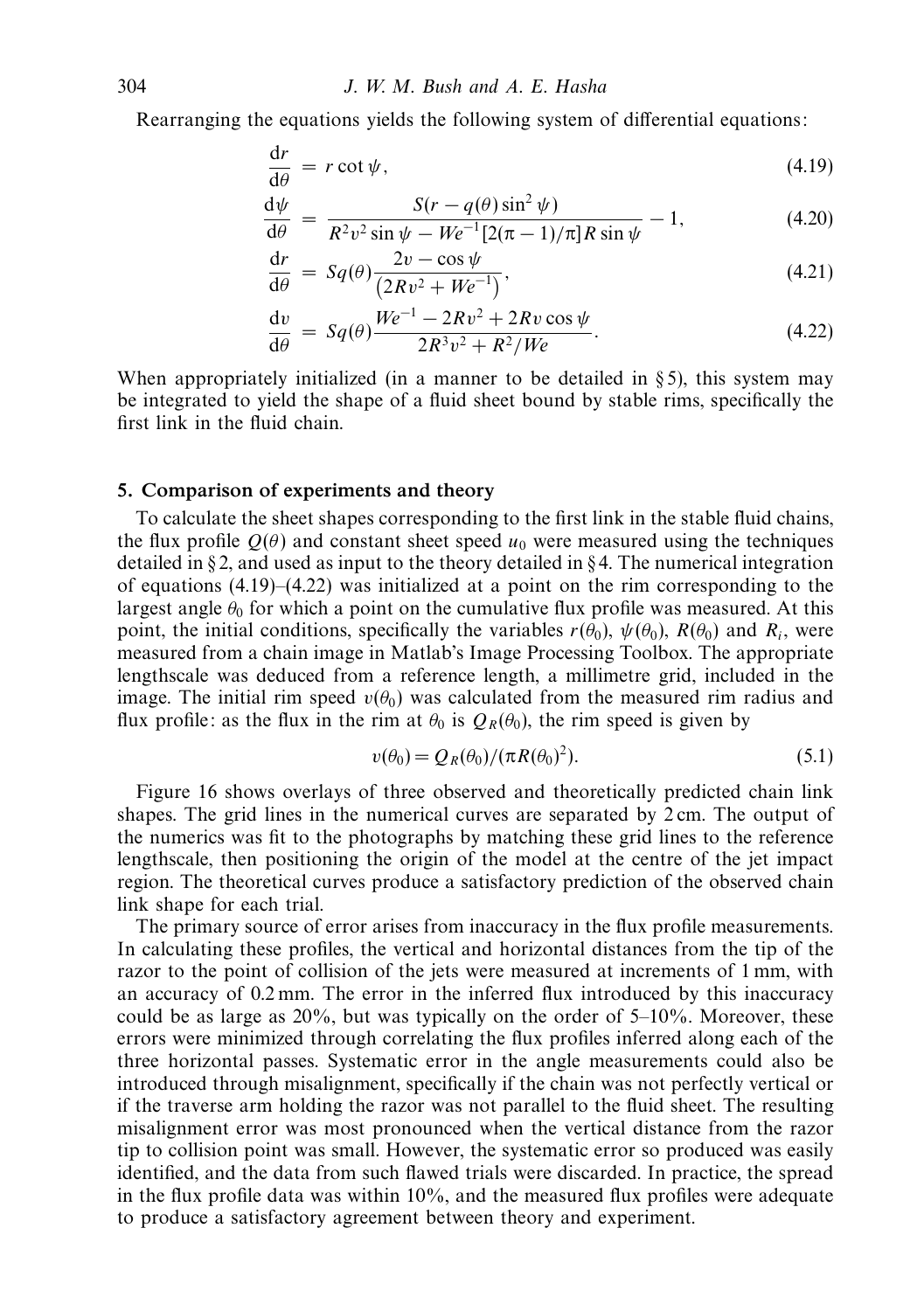Rearranging the equations yields the following system of differential equations:

$$
\frac{\mathrm{d}r}{\mathrm{d}\theta} = r \cot \psi,\tag{4.19}
$$

$$
\frac{d\psi}{d\theta} = \frac{S(r - q(\theta)\sin^2\psi)}{R^2v^2\sin\psi - We^{-1}[2(\pi - 1)/\pi]R\sin\psi} - 1,
$$
\n(4.20)

$$
\frac{\mathrm{d}r}{\mathrm{d}\theta} = Sq(\theta) \frac{2v - \cos \psi}{(2Rv^2 + We^{-1})},\tag{4.21}
$$

$$
\frac{dv}{d\theta} = Sq(\theta) \frac{We^{-1} - 2Rv^2 + 2Rv\cos\psi}{2R^3v^2 + R^2/We}.
$$
\n(4.22)

When appropriately initialized (in a manner to be detailed in  $\S 5$ ), this system may be integrated to yield the shape of a fluid sheet bound by stable rims, specifically the first link in the fluid chain.

#### *5. Comparison of experiments and theory*

To calculate the sheet shapes corresponding to the first link in the stable fluid chains, the flux profile  $Q(\theta)$  and constant sheet speed  $u_0$  were measured using the techniques detailed in  $\S 2$ , and used as input to the theory detailed in  $\S 4$ . The numerical integration of equations (4.19)–(4.22) was initialized at a point on the rim corresponding to the largest angle  $\theta_0$  for which a point on the cumulative flux profile was measured. At this point, the initial conditions, specifically the variables  $r(\theta_0)$ ,  $\psi(\theta_0)$ ,  $R(\theta_0)$  and  $R_i$ , were measured from a chain image in Matlab's Image Processing Toolbox. The appropriate lengthscale was deduced from a reference length, a millimetre grid, included in the image. The initial rim speed  $v(\theta_0)$  was calculated from the measured rim radius and flux profile: as the flux in the rim at  $\theta_0$  is  $Q_R(\theta_0)$ , the rim speed is given by

$$
v(\theta_0) = Q_R(\theta_0) / (\pi R(\theta_0)^2). \tag{5.1}
$$

Figure 16 shows overlays of three observed and theoretically predicted chain link shapes. The grid lines in the numerical curves are separated by 2 cm. The output of the numerics was fit to the photographs by matching these grid lines to the reference lengthscale, then positioning the origin of the model at the centre of the jet impact region. The theoretical curves produce a satisfactory prediction of the observed chain link shape for each trial.

The primary source of error arises from inaccuracy in the flux profile measurements. In calculating these profiles, the vertical and horizontal distances from the tip of the razor to the point of collision of the jets were measured at increments of 1 mm, with an accuracy of 0.2 mm. The error in the inferred flux introduced by this inaccuracy could be as large as  $20\%$ , but was typically on the order of  $5-10\%$ . Moreover, these errors were minimized through correlating the flux profiles inferred along each of the three horizontal passes. Systematic error in the angle measurements could also be introduced through misalignment, specifically if the chain was not perfectly vertical or if the traverse arm holding the razor was not parallel to the fluid sheet. The resulting misalignment error was most pronounced when the vertical distance from the razor tip to collision point was small. However, the systematic error so produced was easily identified, and the data from such flawed trials were discarded. In practice, the spread in the flux profile data was within  $10\%$ , and the measured flux profiles were adequate to produce a satisfactory agreement between theory and experiment.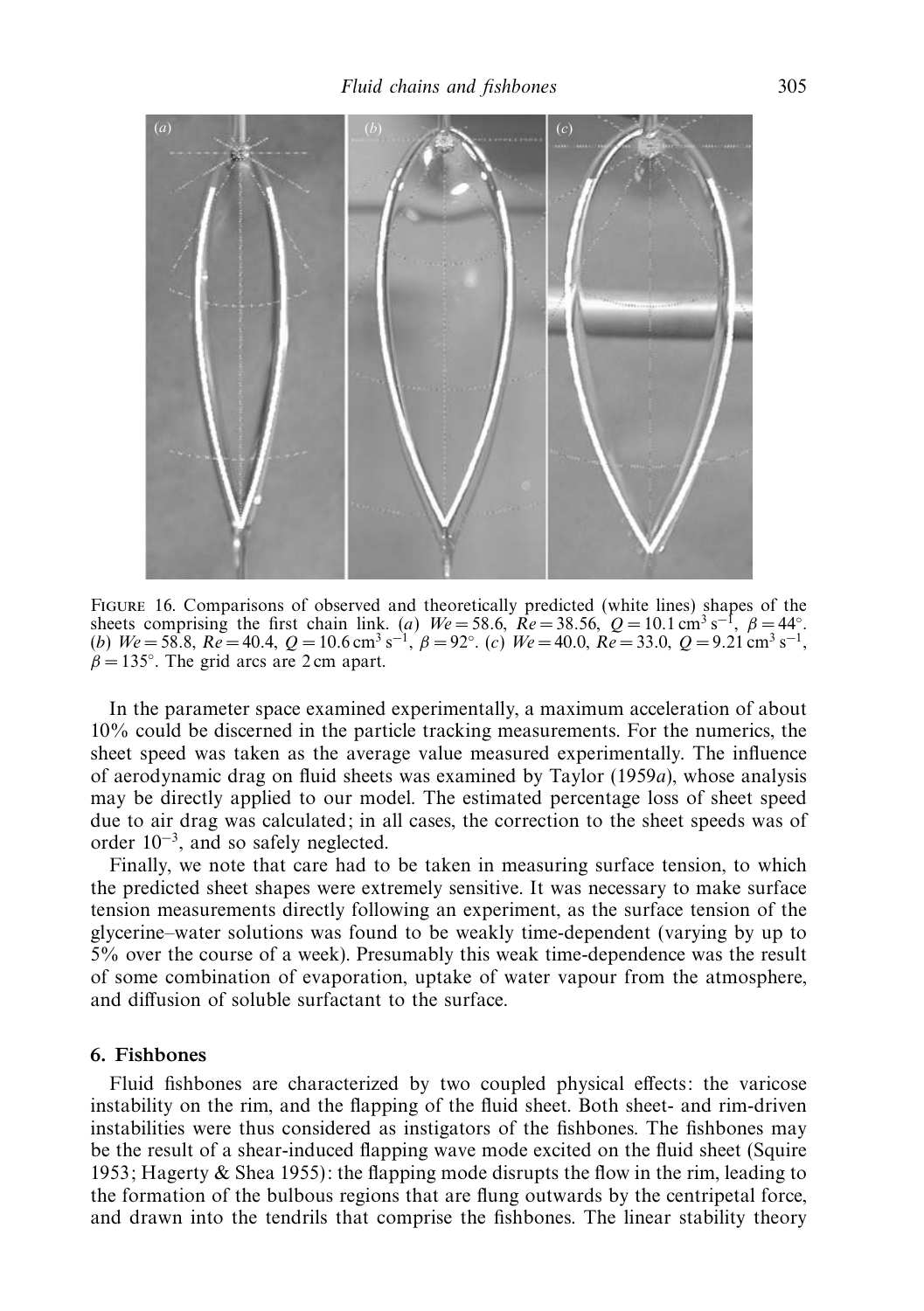

Figure 16. Comparisons of observed and theoretically predicted (white lines) shapes of the sheets comprising the first chain link. (*a*)  $We = 58.6$ ,  $\mathbb{R}e = 38.56$ ,  $Q = 10.1 \text{ cm}^3 \text{ s}^{-1}$ ,  $\beta = 44^\circ$ . (*b*)  $We = 58.8$ ,  $Re = 40.4$ ,  $Q = 10.6$  cm<sup>3</sup> s<sup>-1</sup>,  $\beta = 92^\circ$ . (*c*)  $We = 40.0$ ,  $Re = 33.0$ ,  $Q = 9.21$  cm<sup>3</sup> s<sup>-1</sup>,  $\beta = 135^\circ$ . The grid arcs are 2 cm apart.

In the parameter space examined experimentally, a maximum acceleration of about 10% could be discerned in the particle tracking measurements. For the numerics, the sheet speed was taken as the average value measured experimentally. The influence of aerodynamic drag on fluid sheets was examined by Taylor (1959a), whose analysis may be directly applied to our model. The estimated percentage loss of sheet speed due to air drag was calculated; in all cases, the correction to the sheet speeds was of order 10−3, and so safely neglected.

Finally, we note that care had to be taken in measuring surface tension, to which the predicted sheet shapes were extremely sensitive. It was necessary to make surface tension measurements directly following an experiment, as the surface tension of the glycerine–water solutions was found to be weakly time-dependent (varying by up to 5% over the course of a week). Presumably this weak time-dependence was the result of some combination of evaporation, uptake of water vapour from the atmosphere, and diffusion of soluble surfactant to the surface.

## *6. Fishbones*

Fluid fishbones are characterized by two coupled physical effects: the varicose instability on the rim, and the flapping of the fluid sheet. Both sheet- and rim-driven instabilities were thus considered as instigators of the fishbones. The fishbones may be the result of a shear-induced flapping wave mode excited on the fluid sheet (Squire 1953; Hagerty  $\&$  Shea 1955): the flapping mode disrupts the flow in the rim, leading to the formation of the bulbous regions that are flung outwards by the centripetal force, and drawn into the tendrils that comprise the fishbones. The linear stability theory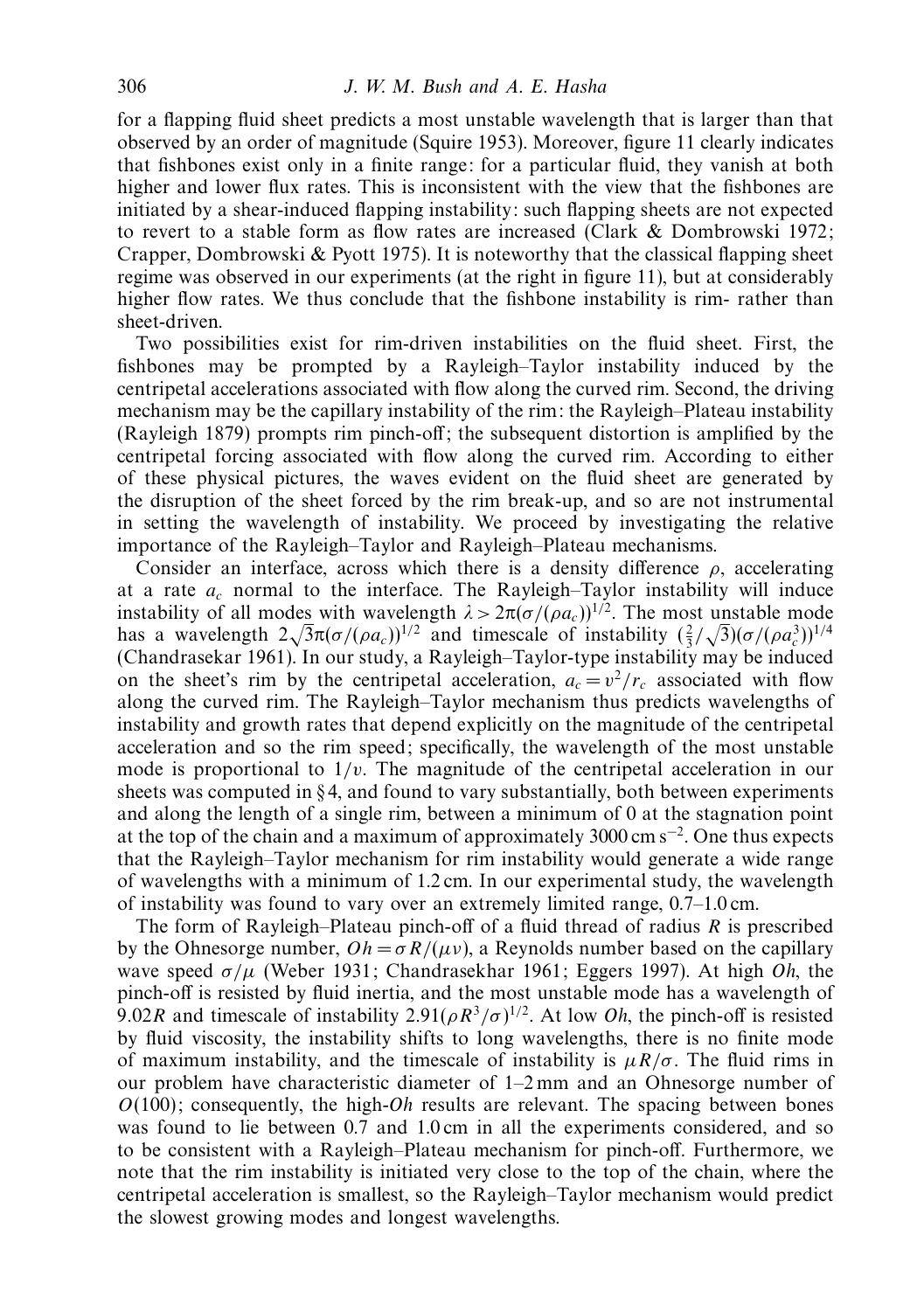for a flapping fluid sheet predicts a most unstable wavelength that is larger than that observed by an order of magnitude (Squire 1953). Moreover, figure 11 clearly indicates that fishbones exist only in a finite range: for a particular fluid, they vanish at both higher and lower flux rates. This is inconsistent with the view that the fishbones are initiated by a shear-induced flapping instability: such flapping sheets are not expected to revert to a stable form as flow rates are increased (Clark & Dombrowski 1972; Crapper, Dombrowski & Pyott 1975). It is noteworthy that the classical flapping sheet regime was observed in our experiments (at the right in figure 11), but at considerably higher flow rates. We thus conclude that the fishbone instability is rim- rather than sheet-driven.

Two possibilities exist for rim-driven instabilities on the fluid sheet. First, the fishbones may be prompted by a Rayleigh–Taylor instability induced by the centripetal accelerations associated with flow along the curved rim. Second, the driving mechanism may be the capillary instability of the rim: the Rayleigh–Plateau instability (Rayleigh 1879) prompts rim pinch-off; the subsequent distortion is amplified by the centripetal forcing associated with flow along the curved rim. According to either of these physical pictures, the waves evident on the fluid sheet are generated by the disruption of the sheet forced by the rim break-up, and so are not instrumental in setting the wavelength of instability. We proceed by investigating the relative importance of the Rayleigh–Taylor and Rayleigh–Plateau mechanisms.

Consider an interface, across which there is a density difference *ρ*, accelerating at a rate *ac* normal to the interface. The Rayleigh–Taylor instability will induce instability of all modes with wavelength  $\lambda > 2\pi(\sigma/(\rho a_c))^{1/2}$ . The most unstable mode has a wavelength  $2\sqrt{3}\pi(\sigma/(\rho a_c))^{1/2}$  and timescale of instability  $(\frac{2}{3}/\sqrt{3})(\sigma/(\rho a_c^3))^{1/4}$ (Chandrasekar 1961). In our study, a Rayleigh–Taylor-type instability may be induced on the sheet's rim by the centripetal acceleration,  $a_c = v^2/r_c$  associated with flow along the curved rim. The Rayleigh–Taylor mechanism thus predicts wavelengths of instability and growth rates that depend explicitly on the magnitude of the centripetal acceleration and so the rim speed; specifically, the wavelength of the most unstable mode is proportional to  $1/v$ . The magnitude of the centripetal acceleration in our sheets was computed in  $\S 4$ , and found to vary substantially, both between experiments and along the length of a single rim, between a minimum of 0 at the stagnation point at the top of the chain and a maximum of approximately 3000 cm s−2. One thus expects that the Rayleigh–Taylor mechanism for rim instability would generate a wide range of wavelengths with a minimum of 1.2 cm. In our experimental study, the wavelength of instability was found to vary over an extremely limited range, 0.7–1.0 cm.

The form of Rayleigh–Plateau pinch-off of a fluid thread of radius *R* is prescribed by the Ohnesorge number,  $Oh = \sigma R/(\mu \nu)$ , a Reynolds number based on the capillary wave speed *σ/µ* (Weber 1931; Chandrasekhar 1961; Eggers 1997). At high Oh, the pinch-off is resisted by fluid inertia, and the most unstable mode has a wavelength of 9.02*R* and timescale of instability 2.91( $\rho R^3/\sigma$ )<sup>1/2</sup>. At low *Oh*, the pinch-off is resisted by fluid viscosity, the instability shifts to long wavelengths, there is no finite mode of maximum instability, and the timescale of instability is  $\mu R/\sigma$ . The fluid rims in our problem have characteristic diameter of 1–2 mm and an Ohnesorge number of  $O(100)$ ; consequently, the high- $Oh$  results are relevant. The spacing between bones was found to lie between 0.7 and 1.0 cm in all the experiments considered, and so to be consistent with a Rayleigh–Plateau mechanism for pinch-off. Furthermore, we note that the rim instability is initiated very close to the top of the chain, where the centripetal acceleration is smallest, so the Rayleigh–Taylor mechanism would predict the slowest growing modes and longest wavelengths.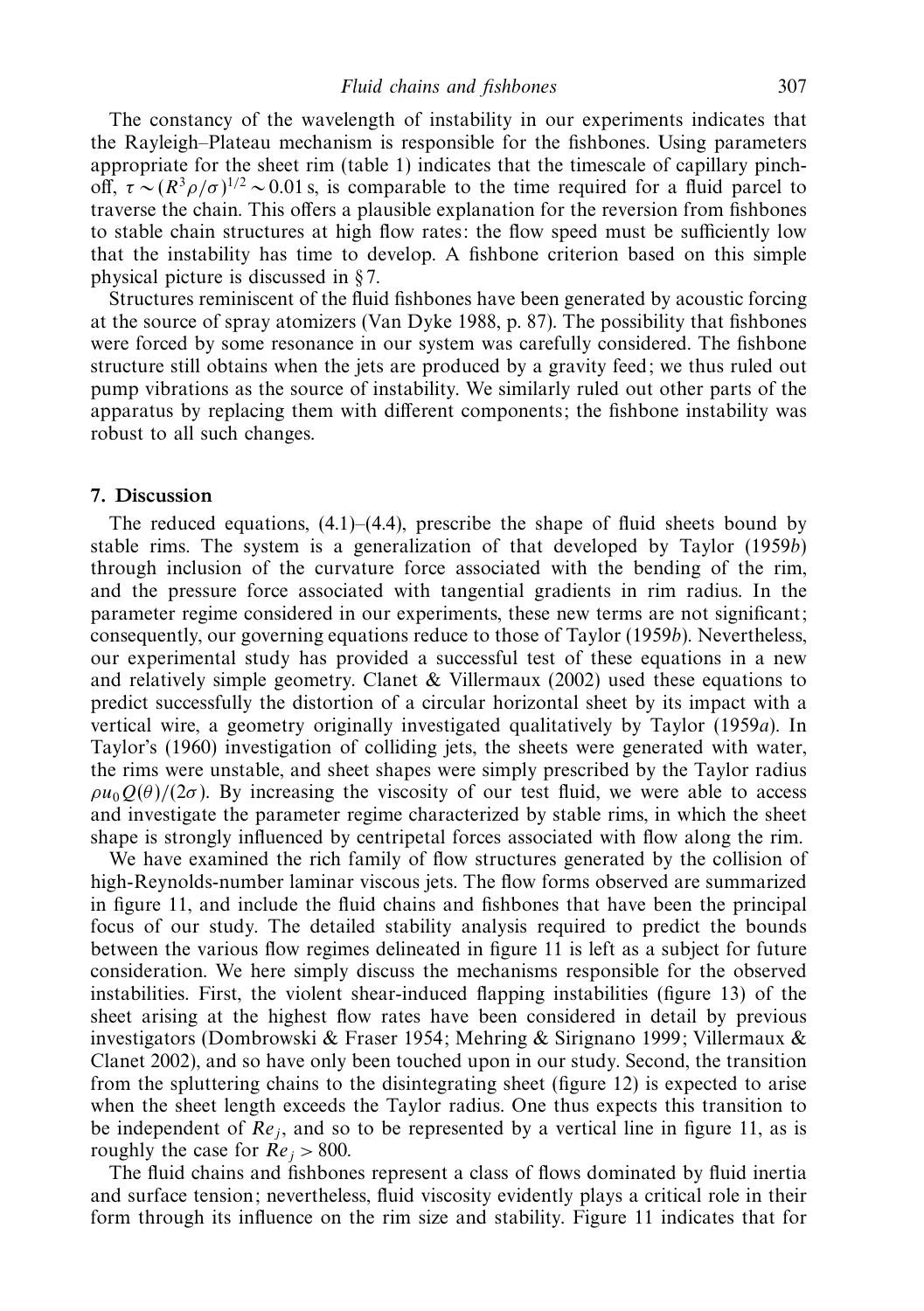The constancy of the wavelength of instability in our experiments indicates that the Rayleigh–Plateau mechanism is responsible for the fishbones. Using parameters appropriate for the sheet rim (table 1) indicates that the timescale of capillary pinchoff,  $\tau \sim (R^3 \rho / \sigma)^{1/2} \sim 0.01$  s, is comparable to the time required for a fluid parcel to traverse the chain. This offers a plausible explanation for the reversion from fishbones to stable chain structures at high flow rates: the flow speed must be sufficiently low that the instability has time to develop. A fishbone criterion based on this simple physical picture is discussed in § 7.

Structures reminiscent of the fluid fishbones have been generated by acoustic forcing at the source of spray atomizers (Van Dyke 1988, p. 87). The possibility that fishbones were forced by some resonance in our system was carefully considered. The fishbone structure still obtains when the jets are produced by a gravity feed; we thus ruled out pump vibrations as the source of instability. We similarly ruled out other parts of the apparatus by replacing them with different components; the fishbone instability was robust to all such changes.

## *7. Discussion*

The reduced equations,  $(4.1)$ – $(4.4)$ , prescribe the shape of fluid sheets bound by stable rims. The system is a generalization of that developed by Taylor (1959b) through inclusion of the curvature force associated with the bending of the rim, and the pressure force associated with tangential gradients in rim radius. In the parameter regime considered in our experiments, these new terms are not significant; consequently, our governing equations reduce to those of Taylor (1959b). Nevertheless, our experimental study has provided a successful test of these equations in a new and relatively simple geometry. Clanet  $&$  Villermaux (2002) used these equations to predict successfully the distortion of a circular horizontal sheet by its impact with a vertical wire, a geometry originally investigated qualitatively by Taylor (1959a). In Taylor's (1960) investigation of colliding jets, the sheets were generated with water, the rims were unstable, and sheet shapes were simply prescribed by the Taylor radius  $\rho u_0 O(\theta)/(2\sigma)$ . By increasing the viscosity of our test fluid, we were able to access and investigate the parameter regime characterized by stable rims, in which the sheet shape is strongly influenced by centripetal forces associated with flow along the rim.

We have examined the rich family of flow structures generated by the collision of high-Reynolds-number laminar viscous jets. The flow forms observed are summarized in figure 11, and include the fluid chains and fishbones that have been the principal focus of our study. The detailed stability analysis required to predict the bounds between the various flow regimes delineated in figure 11 is left as a subject for future consideration. We here simply discuss the mechanisms responsible for the observed instabilities. First, the violent shear-induced flapping instabilities (figure 13) of the sheet arising at the highest flow rates have been considered in detail by previous investigators (Dombrowski & Fraser 1954; Mehring & Sirignano 1999; Villermaux & Clanet 2002), and so have only been touched upon in our study. Second, the transition from the spluttering chains to the disintegrating sheet (figure 12) is expected to arise when the sheet length exceeds the Taylor radius. One thus expects this transition to be independent of  $Re<sub>i</sub>$ , and so to be represented by a vertical line in figure 11, as is roughly the case for  $Re_i > 800$ .

The fluid chains and fishbones represent a class of flows dominated by fluid inertia and surface tension; nevertheless, fluid viscosity evidently plays a critical role in their form through its influence on the rim size and stability. Figure 11 indicates that for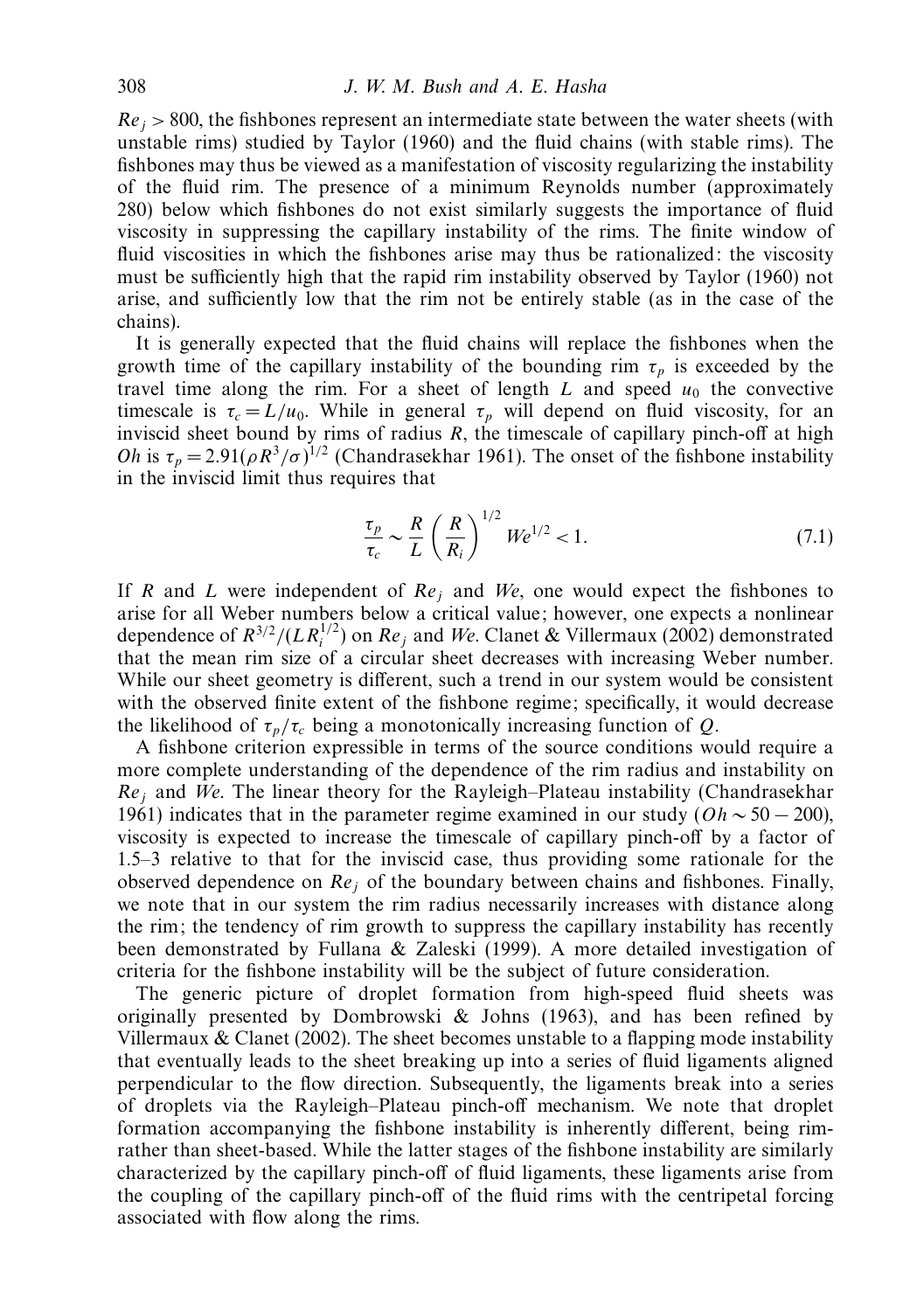$Re_j$  > 800, the fishbones represent an intermediate state between the water sheets (with unstable rims) studied by Taylor (1960) and the fluid chains (with stable rims). The fishbones may thus be viewed as a manifestation of viscosity regularizing the instability of the fluid rim. The presence of a minimum Reynolds number (approximately 280) below which fishbones do not exist similarly suggests the importance of fluid viscosity in suppressing the capillary instability of the rims. The finite window of fluid viscosities in which the fishbones arise may thus be rationalized: the viscosity must be sufficiently high that the rapid rim instability observed by Taylor (1960) not arise, and sufficiently low that the rim not be entirely stable (as in the case of the chains).

It is generally expected that the fluid chains will replace the fishbones when the growth time of the capillary instability of the bounding rim  $\tau_p$  is exceeded by the travel time along the rim. For a sheet of length  $L$  and speed  $u_0$  the convective timescale is  $\tau_c = L/u_0$ . While in general  $\tau_p$  will depend on fluid viscosity, for an inviscid sheet bound by rims of radius *R*, the timescale of capillary pinch-off at high *Oh* is  $\tau_p = 2.91(\rho R^3/\sigma)^{1/2}$  (Chandrasekhar 1961). The onset of the fishbone instability in the inviscid limit thus requires that

$$
\frac{\tau_p}{\tau_c} \sim \frac{R}{L} \left(\frac{R}{R_i}\right)^{1/2} We^{1/2} < 1. \tag{7.1}
$$

If *R* and *L* were independent of Re*<sup>j</sup>* and We, one would expect the fishbones to arise for all Weber numbers below a critical value; however, one expects a nonlinear dependence of  $R^{3/2}/(LR_i^{1/2})$  on  $Re_j$  and We. Clanet & Villermaux (2002) demonstrated that the mean rim size of a circular sheet decreases with increasing Weber number. While our sheet geometry is different, such a trend in our system would be consistent with the observed finite extent of the fishbone regime; specifically, it would decrease the likelihood of  $\tau_p/\tau_c$  being a monotonically increasing function of *Q*.

A fishbone criterion expressible in terms of the source conditions would require a more complete understanding of the dependence of the rim radius and instability on Re*<sup>j</sup>* and We. The linear theory for the Rayleigh–Plateau instability (Chandrasekhar 1961) indicates that in the parameter regime examined in our study (*Oh* ∼ 50 − 200), viscosity is expected to increase the timescale of capillary pinch-off by a factor of 1.5–3 relative to that for the inviscid case, thus providing some rationale for the observed dependence on Re*<sup>j</sup>* of the boundary between chains and fishbones. Finally, we note that in our system the rim radius necessarily increases with distance along the rim; the tendency of rim growth to suppress the capillary instability has recently been demonstrated by Fullana & Zaleski (1999). A more detailed investigation of criteria for the fishbone instability will be the subject of future consideration.

The generic picture of droplet formation from high-speed fluid sheets was originally presented by Dombrowski  $\&$  Johns (1963), and has been refined by Villermaux & Clanet (2002). The sheet becomes unstable to a flapping mode instability that eventually leads to the sheet breaking up into a series of fluid ligaments aligned perpendicular to the flow direction. Subsequently, the ligaments break into a series of droplets via the Rayleigh–Plateau pinch-off mechanism. We note that droplet formation accompanying the fishbone instability is inherently different, being rimrather than sheet-based. While the latter stages of the fishbone instability are similarly characterized by the capillary pinch-off of fluid ligaments, these ligaments arise from the coupling of the capillary pinch-off of the fluid rims with the centripetal forcing associated with flow along the rims.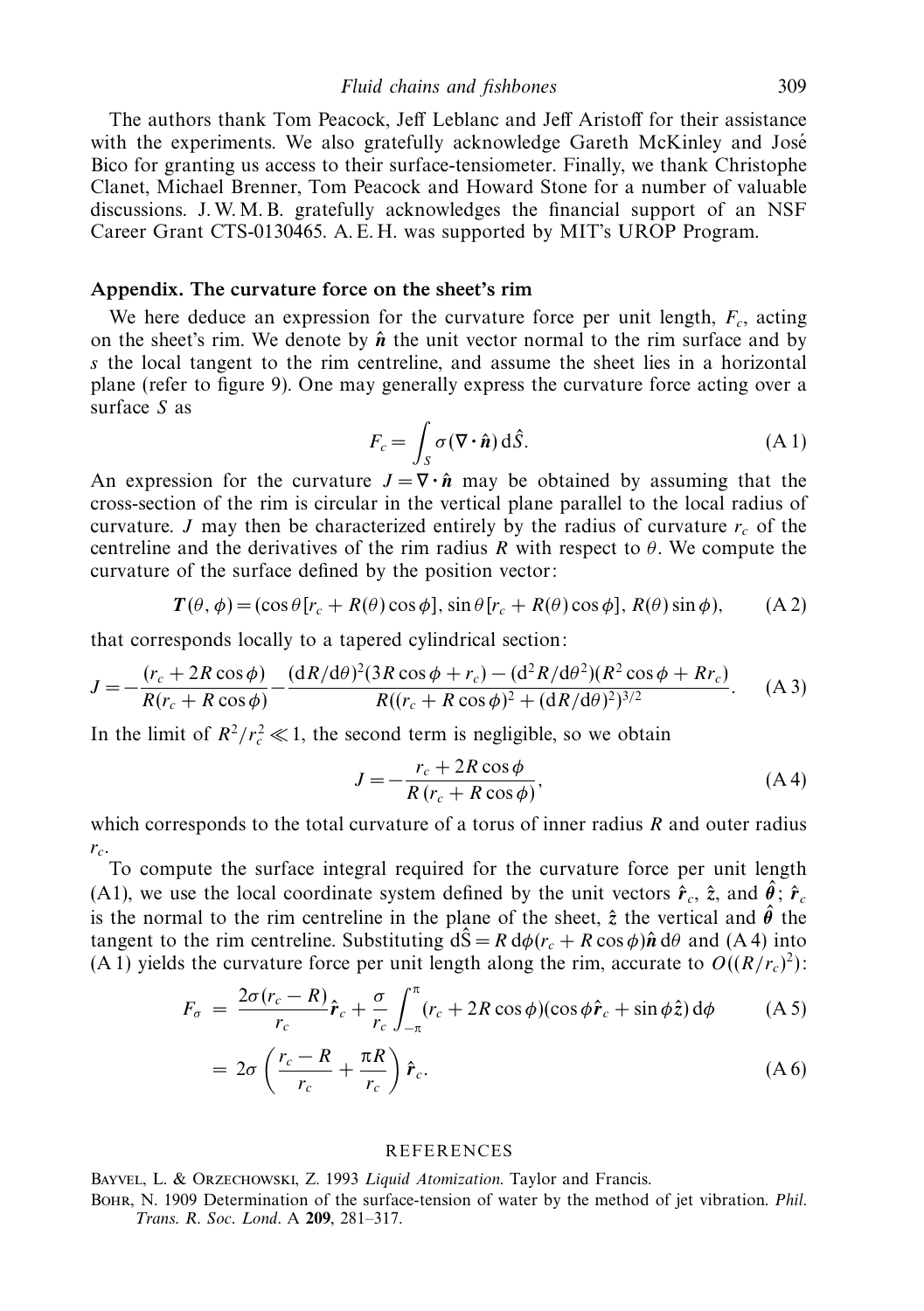The authors thank Tom Peacock, Jeff Leblanc and Jeff Aristoff for their assistance with the experiments. We also gratefully acknowledge Gareth McKinley and José Bico for granting us access to their surface-tensiometer. Finally, we thank Christophe Clanet, Michael Brenner, Tom Peacock and Howard Stone for a number of valuable discussions. J. W. M. B. gratefully acknowledges the financial support of an NSF Career Grant CTS-0130465. A. E. H. was supported by MIT's UROP Program.

## *Appendix. The curvature force on the sheet's rim*

We here deduce an expression for the curvature force per unit length,  $F_c$ , acting on the sheet's rim. We denote by  $\hat{\boldsymbol{n}}$  the unit vector normal to the rim surface and by *s* the local tangent to the rim centreline, and assume the sheet lies in a horizontal plane (refer to figure 9). One may generally express the curvature force acting over a surface *S* as

$$
F_c = \int_S \sigma (\nabla \cdot \hat{\mathbf{n}}) \, d\hat{S}.
$$
 (A1)

An expression for the curvature  $J = \nabla \cdot \hat{n}$  may be obtained by assuming that the cross-section of the rim is circular in the vertical plane parallel to the local radius of curvature. *J* may then be characterized entirely by the radius of curvature  $r_c$  of the centreline and the derivatives of the rim radius *R* with respect to *θ*. We compute the curvature of the surface defined by the position vector:

$$
T(\theta, \phi) = (\cos \theta [r_c + R(\theta) \cos \phi], \sin \theta [r_c + R(\theta) \cos \phi], R(\theta) \sin \phi), \quad (A 2)
$$

that corresponds locally to a tapered cylindrical section:

$$
J = -\frac{(r_c + 2R\cos\phi)}{R(r_c + R\cos\phi)} - \frac{(dR/d\theta)^2 (3R\cos\phi + r_c) - (d^2R/d\theta^2)(R^2\cos\phi + Rr_c)}{R((r_c + R\cos\phi)^2 + (dR/d\theta)^2)^{3/2}}.
$$
 (A 3)

In the limit of  $R^2/r_c^2 \ll 1$ , the second term is negligible, so we obtain

$$
J = -\frac{r_c + 2R\cos\phi}{R(r_c + R\cos\phi)},
$$
 (A4)

which corresponds to the total curvature of a torus of inner radius *R* and outer radius  $r_c$ .

To compute the surface integral required for the curvature force per unit length (A1), we use the local coordinate system defined by the unit vectors  $\hat{\mathbf{r}}_c$ ,  $\hat{\mathbf{z}}$ , and  $\hat{\theta}$ ;  $\hat{\mathbf{r}}_c$ is the normal to the rim centreline in the plane of the sheet,  $\hat{z}$  the vertical and  $\hat{\theta}$  the tangent to the rim centreline. Substituting  $d\hat{S} = R d\phi (r_c + R \cos \phi) \hat{n} d\theta$  and (A 4) into (A 1) yields the curvature force per unit length along the rim, accurate to  $O((R/r_c)^2)$ :

$$
F_{\sigma} = \frac{2\sigma(r_c - R)}{r_c}\hat{r}_c + \frac{\sigma}{r_c} \int_{-\pi}^{\pi} (r_c + 2R\cos\phi)(\cos\phi \hat{r}_c + \sin\phi \hat{z}) d\phi \qquad (A.5)
$$

$$
=2\sigma\left(\frac{r_c-R}{r_c}+\frac{\pi R}{r_c}\right)\hat{r}_c.
$$
 (A 6)

#### **REFERENCES**

BAYVEL, L. & ORZECHOWSKI, Z. 1993 Liquid Atomization. Taylor and Francis.

Bohr, N. 1909 Determination of the surface-tension of water by the method of jet vibration. Phil. Trans. R. Soc. Lond. A **209**, 281–317.